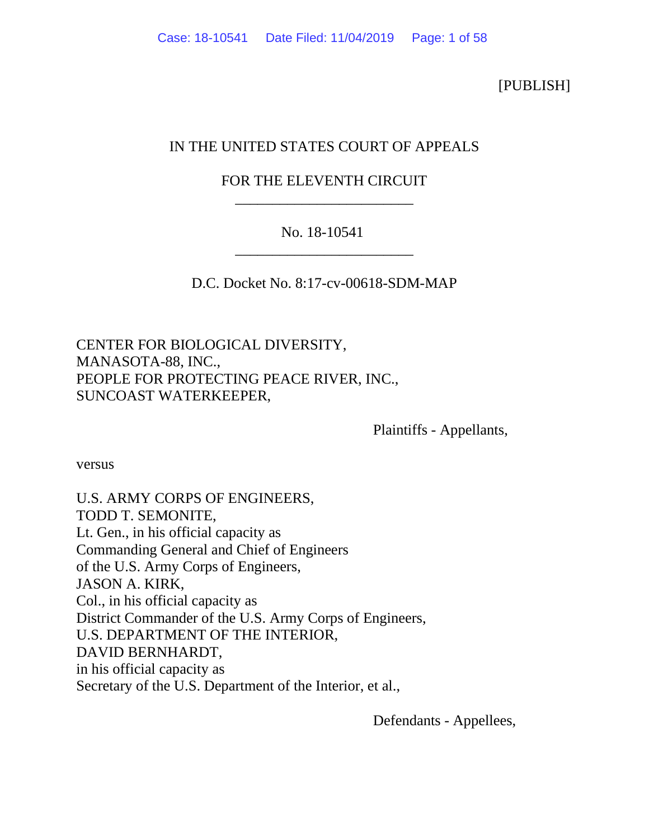[PUBLISH]

# IN THE UNITED STATES COURT OF APPEALS

# FOR THE ELEVENTH CIRCUIT \_\_\_\_\_\_\_\_\_\_\_\_\_\_\_\_\_\_\_\_\_\_\_\_

# No. 18-10541 \_\_\_\_\_\_\_\_\_\_\_\_\_\_\_\_\_\_\_\_\_\_\_\_

D.C. Docket No. 8:17-cv-00618-SDM-MAP

CENTER FOR BIOLOGICAL DIVERSITY, MANASOTA-88, INC., PEOPLE FOR PROTECTING PEACE RIVER, INC., SUNCOAST WATERKEEPER,

Plaintiffs - Appellants,

versus

U.S. ARMY CORPS OF ENGINEERS, TODD T. SEMONITE, Lt. Gen., in his official capacity as Commanding General and Chief of Engineers of the U.S. Army Corps of Engineers, JASON A. KIRK, Col., in his official capacity as District Commander of the U.S. Army Corps of Engineers, U.S. DEPARTMENT OF THE INTERIOR, DAVID BERNHARDT, in his official capacity as Secretary of the U.S. Department of the Interior, et al.,

Defendants - Appellees,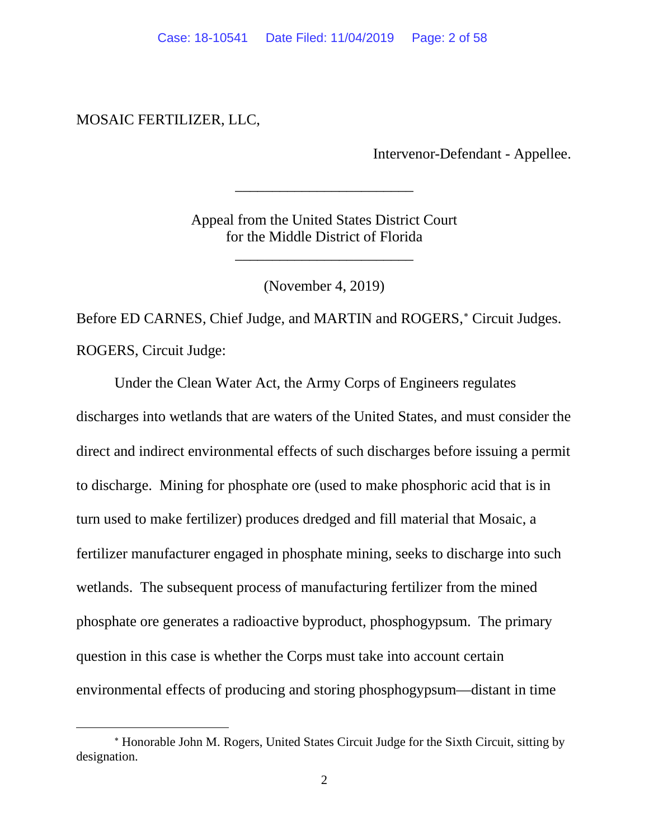MOSAIC FERTILIZER, LLC,

Intervenor-Defendant - Appellee.

Appeal from the United States District Court for the Middle District of Florida

\_\_\_\_\_\_\_\_\_\_\_\_\_\_\_\_\_\_\_\_\_\_\_\_

\_\_\_\_\_\_\_\_\_\_\_\_\_\_\_\_\_\_\_\_\_\_\_\_

(November 4, 2019)

Before ED CARNES, Chief Judge, and MARTIN and ROGERS,<sup>\*</sup> Circuit Judges. ROGERS, Circuit Judge:

Under the Clean Water Act, the Army Corps of Engineers regulates discharges into wetlands that are waters of the United States, and must consider the direct and indirect environmental effects of such discharges before issuing a permit to discharge. Mining for phosphate ore (used to make phosphoric acid that is in turn used to make fertilizer) produces dredged and fill material that Mosaic, a fertilizer manufacturer engaged in phosphate mining, seeks to discharge into such wetlands. The subsequent process of manufacturing fertilizer from the mined phosphate ore generates a radioactive byproduct, phosphogypsum. The primary question in this case is whether the Corps must take into account certain environmental effects of producing and storing phosphogypsum—distant in time

<span id="page-1-0"></span><sup>∗</sup> Honorable John M. Rogers, United States Circuit Judge for the Sixth Circuit, sitting by designation.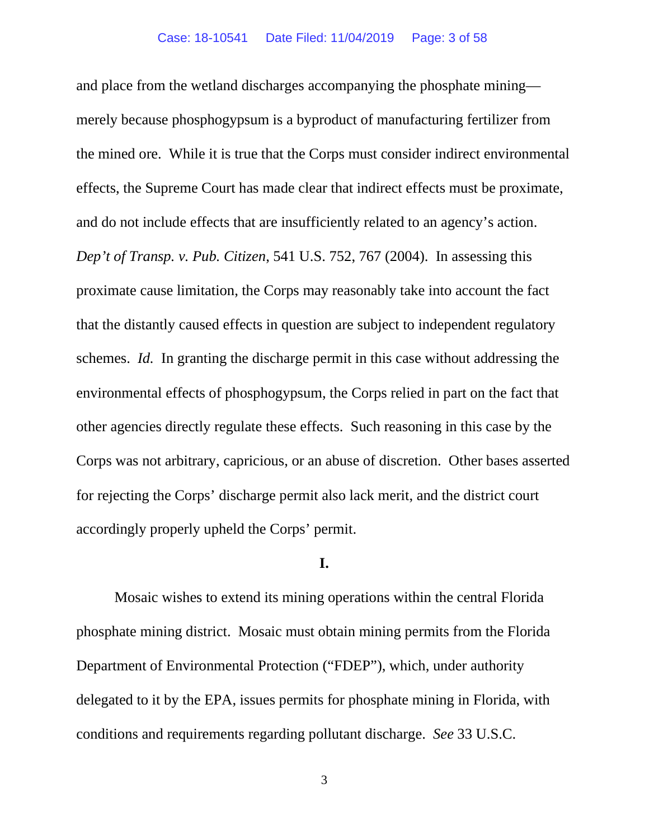and place from the wetland discharges accompanying the phosphate mining merely because phosphogypsum is a byproduct of manufacturing fertilizer from the mined ore. While it is true that the Corps must consider indirect environmental effects, the Supreme Court has made clear that indirect effects must be proximate, and do not include effects that are insufficiently related to an agency's action. *Dep't of Transp. v. Pub. Citizen*, 541 U.S. 752, 767 (2004). In assessing this proximate cause limitation, the Corps may reasonably take into account the fact that the distantly caused effects in question are subject to independent regulatory schemes. *Id.* In granting the discharge permit in this case without addressing the environmental effects of phosphogypsum, the Corps relied in part on the fact that other agencies directly regulate these effects. Such reasoning in this case by the Corps was not arbitrary, capricious, or an abuse of discretion. Other bases asserted for rejecting the Corps' discharge permit also lack merit, and the district court accordingly properly upheld the Corps' permit.

## **I.**

Mosaic wishes to extend its mining operations within the central Florida phosphate mining district. Mosaic must obtain mining permits from the Florida Department of Environmental Protection ("FDEP"), which, under authority delegated to it by the EPA, issues permits for phosphate mining in Florida, with conditions and requirements regarding pollutant discharge. *See* 33 U.S.C.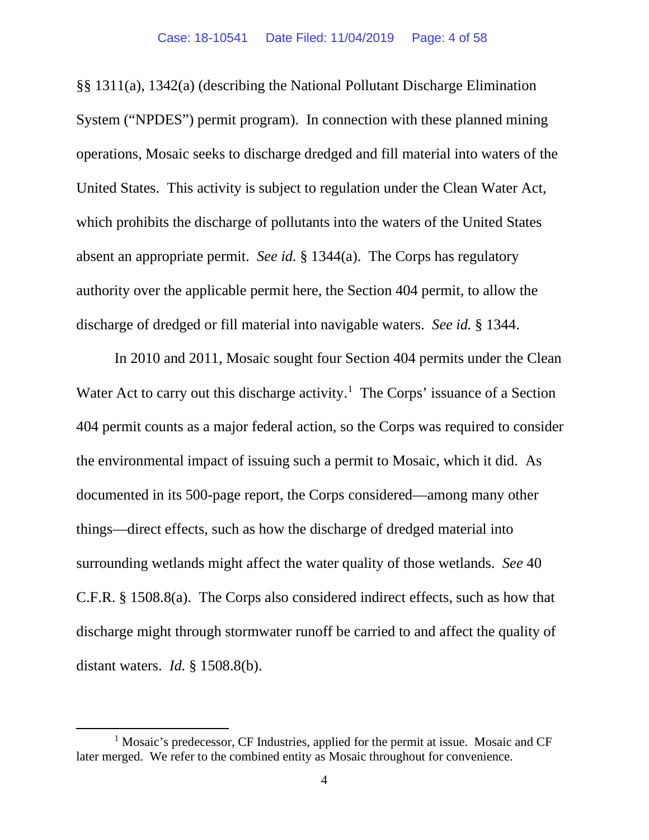§§ 1311(a), 1342(a) (describing the National Pollutant Discharge Elimination System ("NPDES") permit program). In connection with these planned mining operations, Mosaic seeks to discharge dredged and fill material into waters of the United States. This activity is subject to regulation under the Clean Water Act, which prohibits the discharge of pollutants into the waters of the United States absent an appropriate permit. *See id.* § 1344(a). The Corps has regulatory authority over the applicable permit here, the Section 404 permit, to allow the discharge of dredged or fill material into navigable waters. *See id.* § 1344.

In 2010 and 2011, Mosaic sought four Section 404 permits under the Clean Water Act to carry out this discharge activity.<sup>[1](#page-3-0)</sup> The Corps' issuance of a Section 404 permit counts as a major federal action, so the Corps was required to consider the environmental impact of issuing such a permit to Mosaic, which it did. As documented in its 500-page report, the Corps considered—among many other things—direct effects, such as how the discharge of dredged material into surrounding wetlands might affect the water quality of those wetlands. *See* 40 C.F.R. § 1508.8(a). The Corps also considered indirect effects, such as how that discharge might through stormwater runoff be carried to and affect the quality of distant waters. *Id.* § 1508.8(b).

<span id="page-3-0"></span><sup>&</sup>lt;sup>1</sup> Mosaic's predecessor, CF Industries, applied for the permit at issue. Mosaic and CF later merged. We refer to the combined entity as Mosaic throughout for convenience.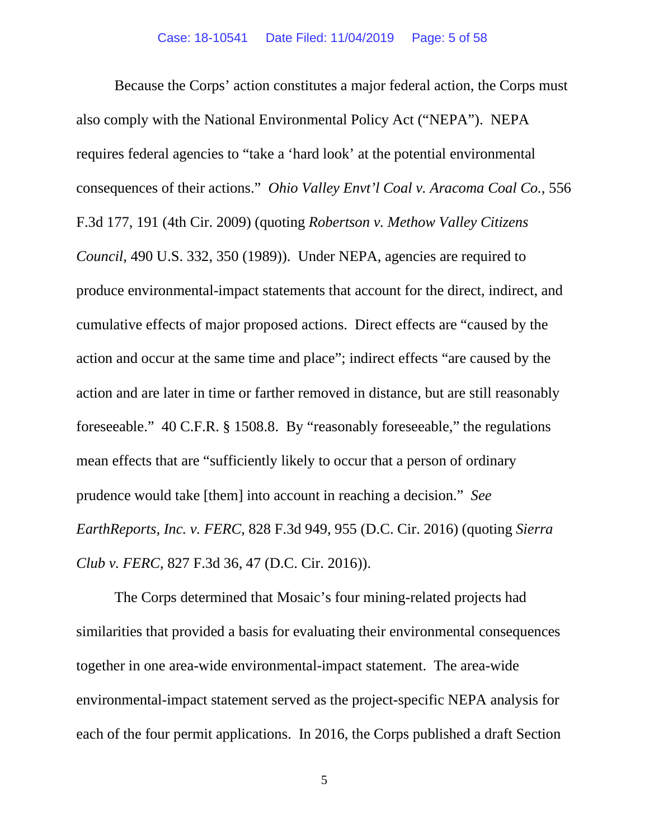Because the Corps' action constitutes a major federal action, the Corps must also comply with the National Environmental Policy Act ("NEPA"). NEPA requires federal agencies to "take a 'hard look' at the potential environmental consequences of their actions." *Ohio Valley Envt'l Coal v. Aracoma Coal Co.*, 556 F.3d 177, 191 (4th Cir. 2009) (quoting *Robertson v. Methow Valley Citizens Council*, 490 U.S. 332, 350 (1989)). Under NEPA, agencies are required to produce environmental-impact statements that account for the direct, indirect, and cumulative effects of major proposed actions. Direct effects are "caused by the action and occur at the same time and place"; indirect effects "are caused by the action and are later in time or farther removed in distance, but are still reasonably foreseeable." 40 C.F.R. § 1508.8. By "reasonably foreseeable," the regulations mean effects that are "sufficiently likely to occur that a person of ordinary prudence would take [them] into account in reaching a decision." *See EarthReports, Inc. v. FERC*, 828 F.3d 949, 955 (D.C. Cir. 2016) (quoting *Sierra Club v. FERC*, 827 F.3d 36, 47 (D.C. Cir. 2016)).

The Corps determined that Mosaic's four mining-related projects had similarities that provided a basis for evaluating their environmental consequences together in one area-wide environmental-impact statement. The area-wide environmental-impact statement served as the project-specific NEPA analysis for each of the four permit applications. In 2016, the Corps published a draft Section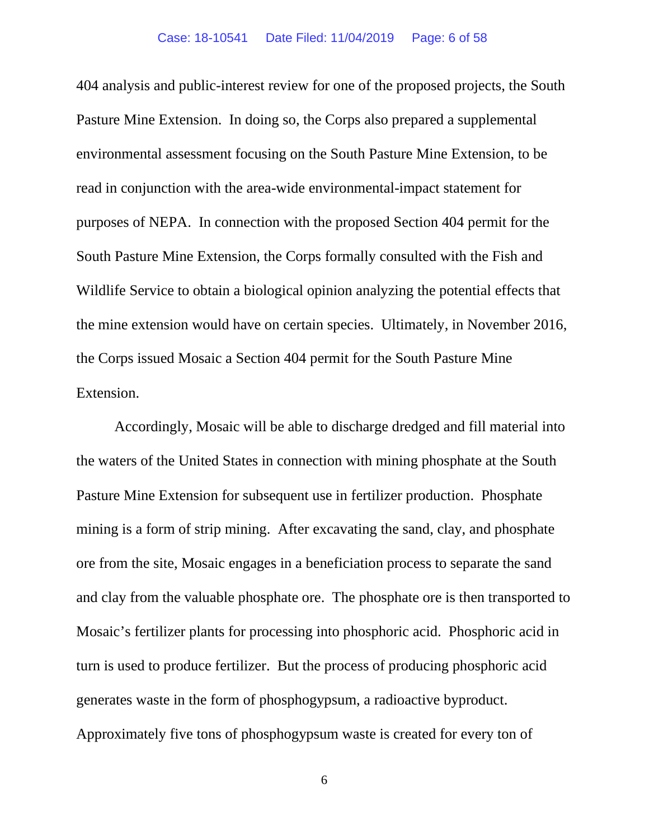404 analysis and public-interest review for one of the proposed projects, the South Pasture Mine Extension. In doing so, the Corps also prepared a supplemental environmental assessment focusing on the South Pasture Mine Extension, to be read in conjunction with the area-wide environmental-impact statement for purposes of NEPA. In connection with the proposed Section 404 permit for the South Pasture Mine Extension, the Corps formally consulted with the Fish and Wildlife Service to obtain a biological opinion analyzing the potential effects that the mine extension would have on certain species. Ultimately, in November 2016, the Corps issued Mosaic a Section 404 permit for the South Pasture Mine Extension.

Accordingly, Mosaic will be able to discharge dredged and fill material into the waters of the United States in connection with mining phosphate at the South Pasture Mine Extension for subsequent use in fertilizer production. Phosphate mining is a form of strip mining. After excavating the sand, clay, and phosphate ore from the site, Mosaic engages in a beneficiation process to separate the sand and clay from the valuable phosphate ore. The phosphate ore is then transported to Mosaic's fertilizer plants for processing into phosphoric acid. Phosphoric acid in turn is used to produce fertilizer. But the process of producing phosphoric acid generates waste in the form of phosphogypsum, a radioactive byproduct. Approximately five tons of phosphogypsum waste is created for every ton of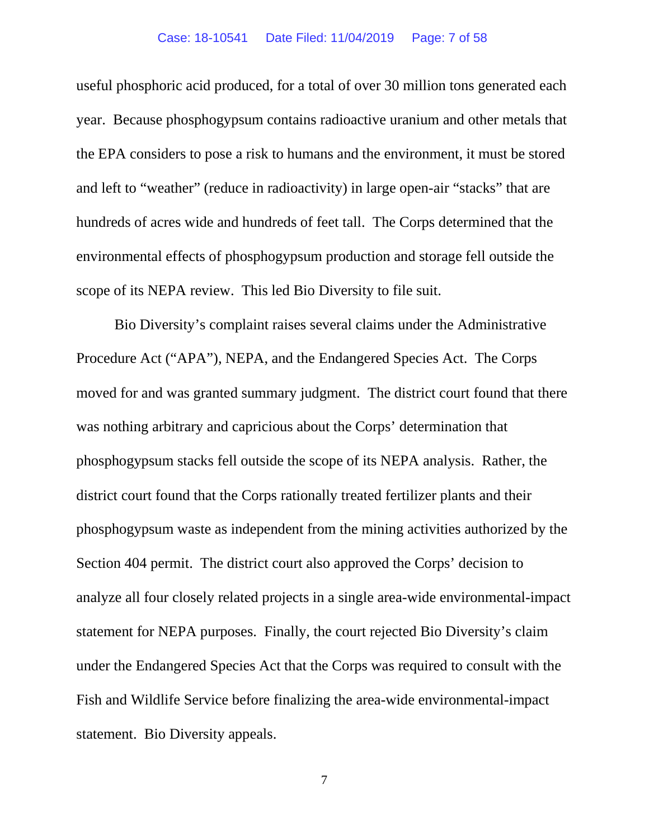useful phosphoric acid produced, for a total of over 30 million tons generated each year. Because phosphogypsum contains radioactive uranium and other metals that the EPA considers to pose a risk to humans and the environment, it must be stored and left to "weather" (reduce in radioactivity) in large open-air "stacks" that are hundreds of acres wide and hundreds of feet tall. The Corps determined that the environmental effects of phosphogypsum production and storage fell outside the scope of its NEPA review. This led Bio Diversity to file suit.

Bio Diversity's complaint raises several claims under the Administrative Procedure Act ("APA"), NEPA, and the Endangered Species Act. The Corps moved for and was granted summary judgment. The district court found that there was nothing arbitrary and capricious about the Corps' determination that phosphogypsum stacks fell outside the scope of its NEPA analysis. Rather, the district court found that the Corps rationally treated fertilizer plants and their phosphogypsum waste as independent from the mining activities authorized by the Section 404 permit. The district court also approved the Corps' decision to analyze all four closely related projects in a single area-wide environmental-impact statement for NEPA purposes. Finally, the court rejected Bio Diversity's claim under the Endangered Species Act that the Corps was required to consult with the Fish and Wildlife Service before finalizing the area-wide environmental-impact statement. Bio Diversity appeals.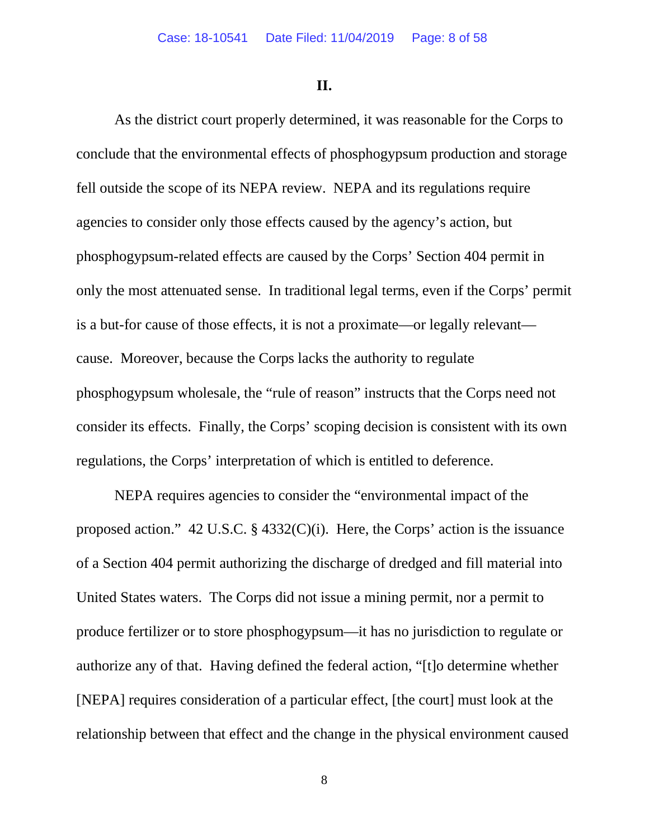**II.**

As the district court properly determined, it was reasonable for the Corps to conclude that the environmental effects of phosphogypsum production and storage fell outside the scope of its NEPA review. NEPA and its regulations require agencies to consider only those effects caused by the agency's action, but phosphogypsum-related effects are caused by the Corps' Section 404 permit in only the most attenuated sense. In traditional legal terms, even if the Corps' permit is a but-for cause of those effects, it is not a proximate—or legally relevant cause. Moreover, because the Corps lacks the authority to regulate phosphogypsum wholesale, the "rule of reason" instructs that the Corps need not consider its effects. Finally, the Corps' scoping decision is consistent with its own regulations, the Corps' interpretation of which is entitled to deference.

NEPA requires agencies to consider the "environmental impact of the proposed action." 42 U.S.C. § 4332(C)(i). Here, the Corps' action is the issuance of a Section 404 permit authorizing the discharge of dredged and fill material into United States waters. The Corps did not issue a mining permit, nor a permit to produce fertilizer or to store phosphogypsum—it has no jurisdiction to regulate or authorize any of that. Having defined the federal action, "[t]o determine whether [NEPA] requires consideration of a particular effect, [the court] must look at the relationship between that effect and the change in the physical environment caused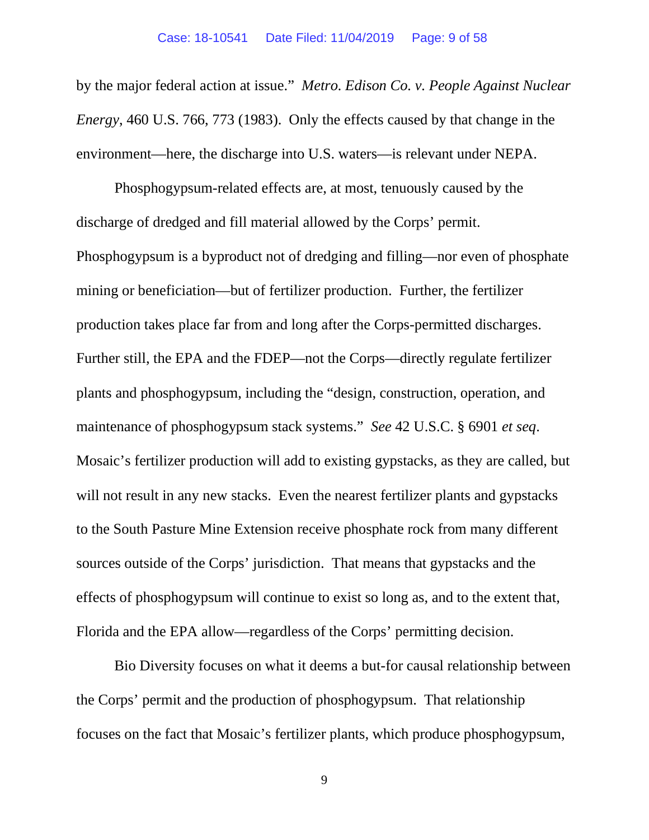by the major federal action at issue." *Metro. Edison Co. v. People Against Nuclear Energy*, 460 U.S. 766, 773 (1983). Only the effects caused by that change in the environment—here, the discharge into U.S. waters—is relevant under NEPA.

Phosphogypsum-related effects are, at most, tenuously caused by the discharge of dredged and fill material allowed by the Corps' permit. Phosphogypsum is a byproduct not of dredging and filling—nor even of phosphate mining or beneficiation—but of fertilizer production. Further, the fertilizer production takes place far from and long after the Corps-permitted discharges. Further still, the EPA and the FDEP—not the Corps—directly regulate fertilizer plants and phosphogypsum, including the "design, construction, operation, and maintenance of phosphogypsum stack systems." *See* 42 U.S.C. § 6901 *et seq*. Mosaic's fertilizer production will add to existing gypstacks, as they are called, but will not result in any new stacks. Even the nearest fertilizer plants and gypstacks to the South Pasture Mine Extension receive phosphate rock from many different sources outside of the Corps' jurisdiction. That means that gypstacks and the effects of phosphogypsum will continue to exist so long as, and to the extent that, Florida and the EPA allow—regardless of the Corps' permitting decision.

Bio Diversity focuses on what it deems a but-for causal relationship between the Corps' permit and the production of phosphogypsum. That relationship focuses on the fact that Mosaic's fertilizer plants, which produce phosphogypsum,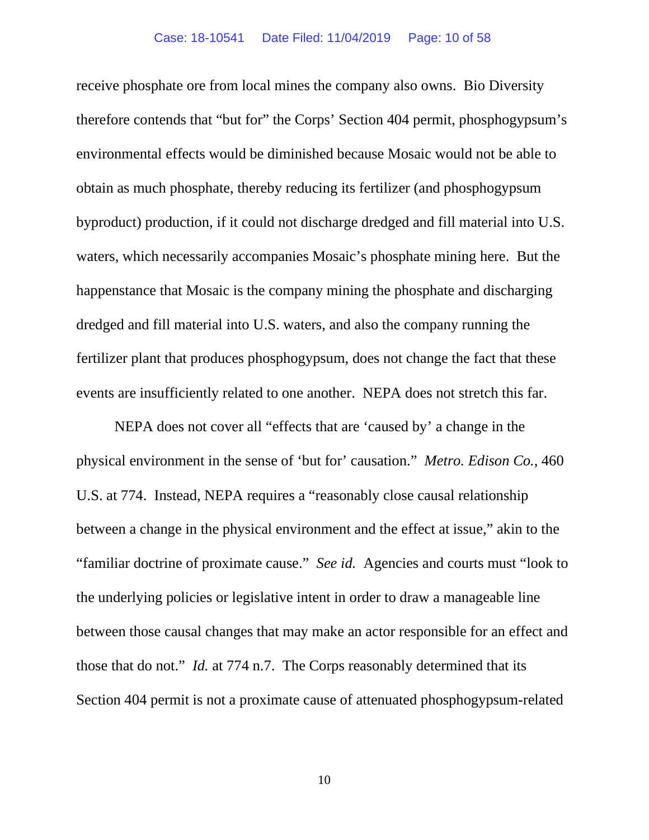receive phosphate ore from local mines the company also owns. Bio Diversity therefore contends that "but for" the Corps' Section 404 permit, phosphogypsum's environmental effects would be diminished because Mosaic would not be able to obtain as much phosphate, thereby reducing its fertilizer (and phosphogypsum byproduct) production, if it could not discharge dredged and fill material into U.S. waters, which necessarily accompanies Mosaic's phosphate mining here. But the happenstance that Mosaic is the company mining the phosphate and discharging dredged and fill material into U.S. waters, and also the company running the fertilizer plant that produces phosphogypsum, does not change the fact that these events are insufficiently related to one another. NEPA does not stretch this far.

NEPA does not cover all "effects that are 'caused by' a change in the physical environment in the sense of 'but for' causation." *Metro. Edison Co.*, 460 U.S. at 774. Instead, NEPA requires a "reasonably close causal relationship between a change in the physical environment and the effect at issue," akin to the "familiar doctrine of proximate cause." *See id.* Agencies and courts must "look to the underlying policies or legislative intent in order to draw a manageable line between those causal changes that may make an actor responsible for an effect and those that do not." *Id.* at 774 n.7. The Corps reasonably determined that its Section 404 permit is not a proximate cause of attenuated phosphogypsum-related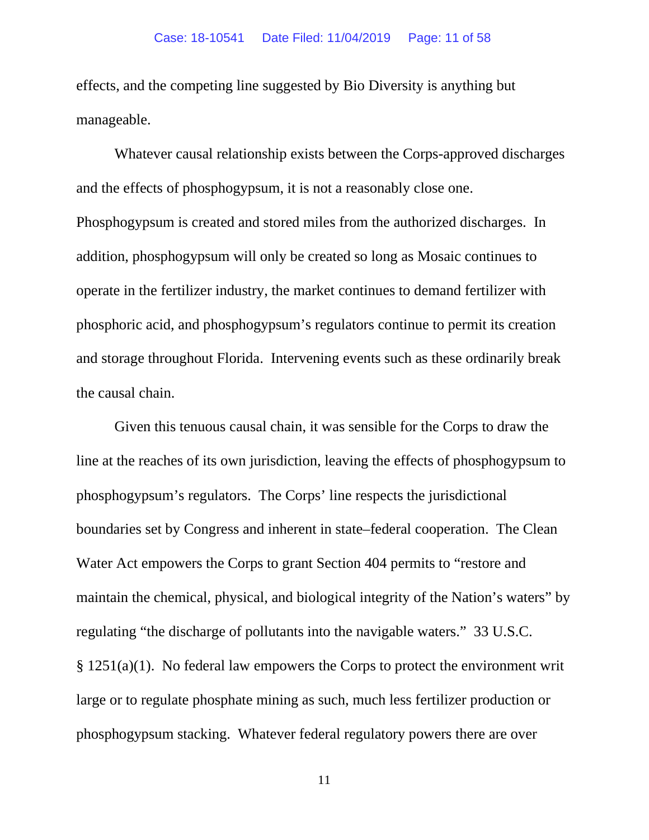effects, and the competing line suggested by Bio Diversity is anything but manageable.

Whatever causal relationship exists between the Corps-approved discharges and the effects of phosphogypsum, it is not a reasonably close one. Phosphogypsum is created and stored miles from the authorized discharges. In addition, phosphogypsum will only be created so long as Mosaic continues to operate in the fertilizer industry, the market continues to demand fertilizer with phosphoric acid, and phosphogypsum's regulators continue to permit its creation and storage throughout Florida. Intervening events such as these ordinarily break the causal chain.

Given this tenuous causal chain, it was sensible for the Corps to draw the line at the reaches of its own jurisdiction, leaving the effects of phosphogypsum to phosphogypsum's regulators. The Corps' line respects the jurisdictional boundaries set by Congress and inherent in state–federal cooperation. The Clean Water Act empowers the Corps to grant Section 404 permits to "restore and maintain the chemical, physical, and biological integrity of the Nation's waters" by regulating "the discharge of pollutants into the navigable waters." 33 U.S.C. § 1251(a)(1). No federal law empowers the Corps to protect the environment writ large or to regulate phosphate mining as such, much less fertilizer production or phosphogypsum stacking. Whatever federal regulatory powers there are over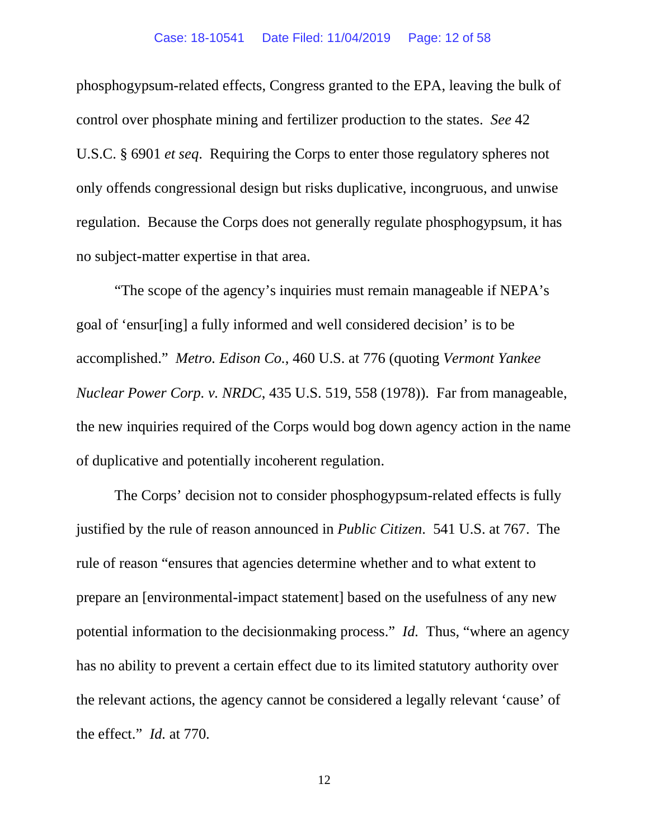phosphogypsum-related effects, Congress granted to the EPA, leaving the bulk of control over phosphate mining and fertilizer production to the states. *See* 42 U.S.C. § 6901 *et seq*. Requiring the Corps to enter those regulatory spheres not only offends congressional design but risks duplicative, incongruous, and unwise regulation. Because the Corps does not generally regulate phosphogypsum, it has no subject-matter expertise in that area.

"The scope of the agency's inquiries must remain manageable if NEPA's goal of 'ensur[ing] a fully informed and well considered decision' is to be accomplished." *Metro. Edison Co.*, 460 U.S. at 776 (quoting *Vermont Yankee Nuclear Power Corp. v. NRDC*, 435 U.S. 519, 558 (1978)). Far from manageable, the new inquiries required of the Corps would bog down agency action in the name of duplicative and potentially incoherent regulation.

The Corps' decision not to consider phosphogypsum-related effects is fully justified by the rule of reason announced in *Public Citizen*. 541 U.S. at 767. The rule of reason "ensures that agencies determine whether and to what extent to prepare an [environmental-impact statement] based on the usefulness of any new potential information to the decisionmaking process." *Id.* Thus, "where an agency has no ability to prevent a certain effect due to its limited statutory authority over the relevant actions, the agency cannot be considered a legally relevant 'cause' of the effect." *Id.* at 770.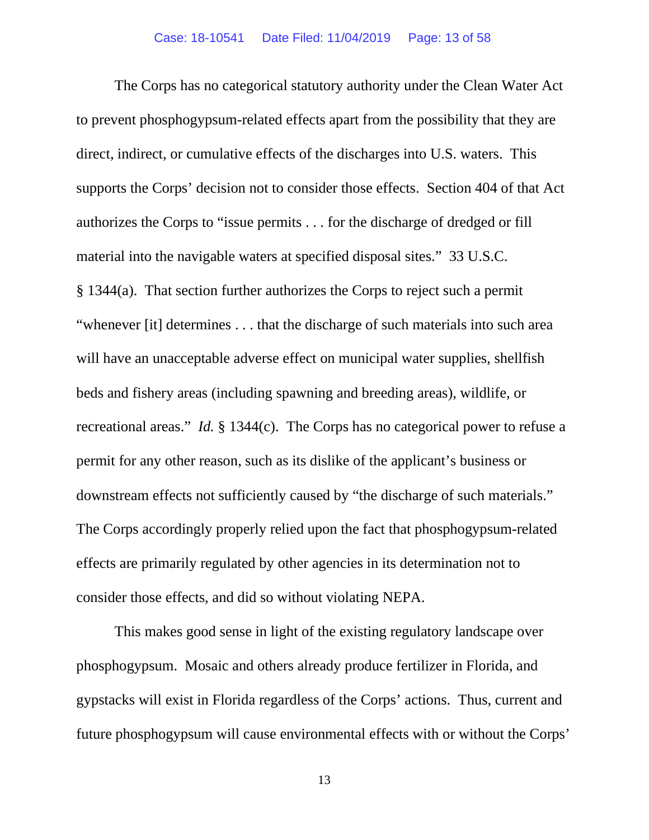The Corps has no categorical statutory authority under the Clean Water Act to prevent phosphogypsum-related effects apart from the possibility that they are direct, indirect, or cumulative effects of the discharges into U.S. waters. This supports the Corps' decision not to consider those effects. Section 404 of that Act authorizes the Corps to "issue permits . . . for the discharge of dredged or fill material into the navigable waters at specified disposal sites." 33 U.S.C. § 1344(a). That section further authorizes the Corps to reject such a permit "whenever [it] determines . . . that the discharge of such materials into such area will have an unacceptable adverse effect on municipal water supplies, shellfish beds and fishery areas (including spawning and breeding areas), wildlife, or recreational areas." *Id.* § 1344(c). The Corps has no categorical power to refuse a permit for any other reason, such as its dislike of the applicant's business or downstream effects not sufficiently caused by "the discharge of such materials." The Corps accordingly properly relied upon the fact that phosphogypsum-related effects are primarily regulated by other agencies in its determination not to consider those effects, and did so without violating NEPA.

This makes good sense in light of the existing regulatory landscape over phosphogypsum. Mosaic and others already produce fertilizer in Florida, and gypstacks will exist in Florida regardless of the Corps' actions. Thus, current and future phosphogypsum will cause environmental effects with or without the Corps'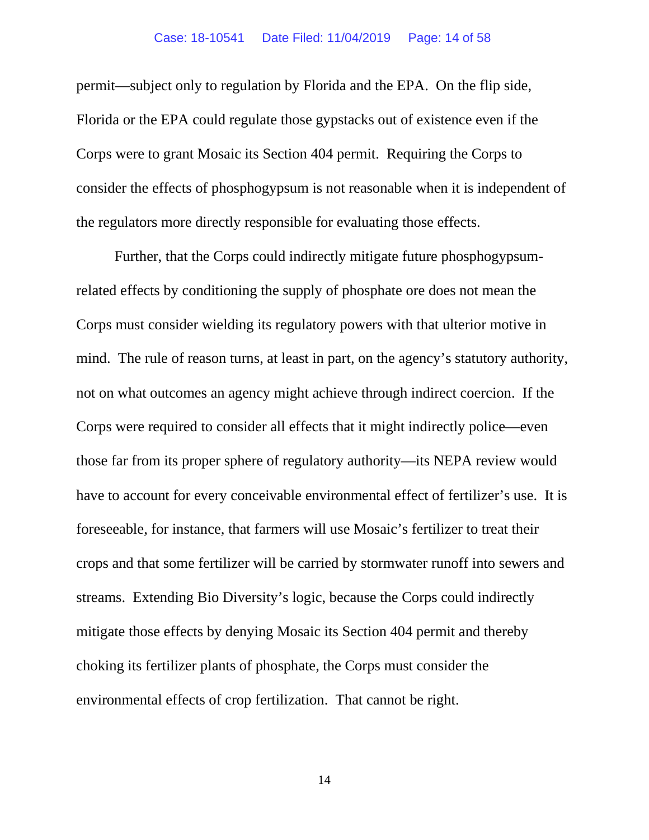permit—subject only to regulation by Florida and the EPA. On the flip side, Florida or the EPA could regulate those gypstacks out of existence even if the Corps were to grant Mosaic its Section 404 permit. Requiring the Corps to consider the effects of phosphogypsum is not reasonable when it is independent of the regulators more directly responsible for evaluating those effects.

Further, that the Corps could indirectly mitigate future phosphogypsumrelated effects by conditioning the supply of phosphate ore does not mean the Corps must consider wielding its regulatory powers with that ulterior motive in mind. The rule of reason turns, at least in part, on the agency's statutory authority, not on what outcomes an agency might achieve through indirect coercion. If the Corps were required to consider all effects that it might indirectly police—even those far from its proper sphere of regulatory authority—its NEPA review would have to account for every conceivable environmental effect of fertilizer's use. It is foreseeable, for instance, that farmers will use Mosaic's fertilizer to treat their crops and that some fertilizer will be carried by stormwater runoff into sewers and streams. Extending Bio Diversity's logic, because the Corps could indirectly mitigate those effects by denying Mosaic its Section 404 permit and thereby choking its fertilizer plants of phosphate, the Corps must consider the environmental effects of crop fertilization. That cannot be right.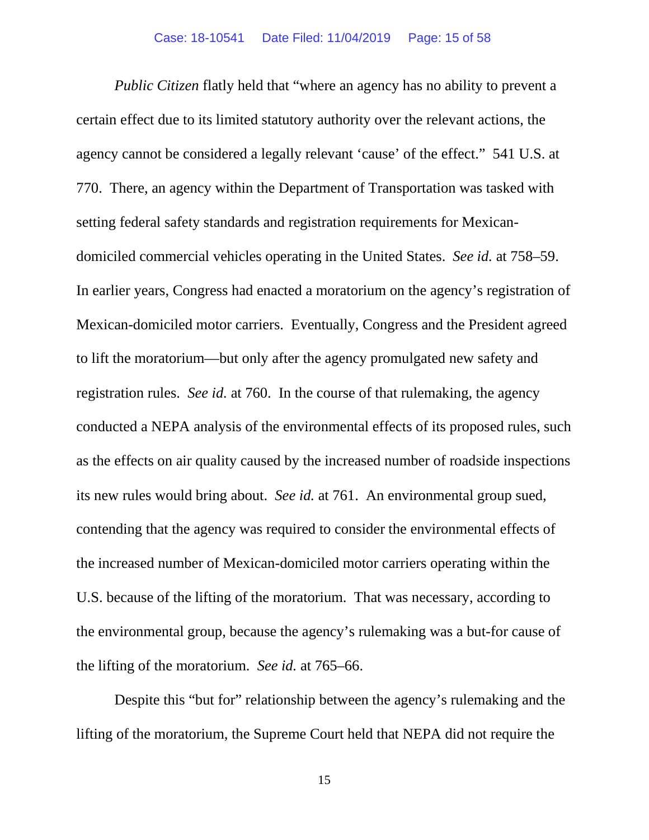*Public Citizen* flatly held that "where an agency has no ability to prevent a certain effect due to its limited statutory authority over the relevant actions, the agency cannot be considered a legally relevant 'cause' of the effect." 541 U.S. at 770. There, an agency within the Department of Transportation was tasked with setting federal safety standards and registration requirements for Mexicandomiciled commercial vehicles operating in the United States. *See id.* at 758–59. In earlier years, Congress had enacted a moratorium on the agency's registration of Mexican-domiciled motor carriers. Eventually, Congress and the President agreed to lift the moratorium—but only after the agency promulgated new safety and registration rules. *See id.* at 760. In the course of that rulemaking, the agency conducted a NEPA analysis of the environmental effects of its proposed rules, such as the effects on air quality caused by the increased number of roadside inspections its new rules would bring about. *See id.* at 761. An environmental group sued, contending that the agency was required to consider the environmental effects of the increased number of Mexican-domiciled motor carriers operating within the U.S. because of the lifting of the moratorium. That was necessary, according to the environmental group, because the agency's rulemaking was a but-for cause of the lifting of the moratorium. *See id.* at 765–66.

Despite this "but for" relationship between the agency's rulemaking and the lifting of the moratorium, the Supreme Court held that NEPA did not require the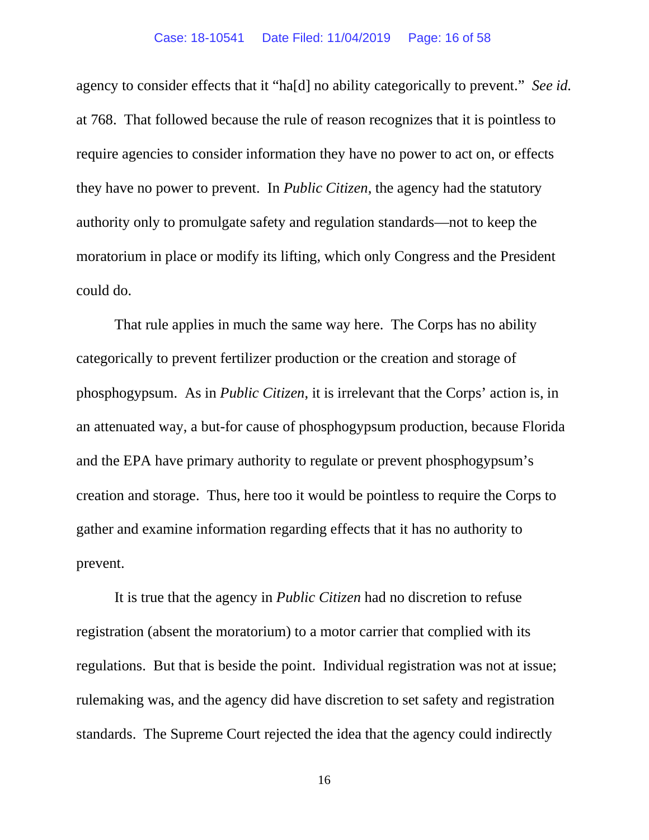#### Case: 18-10541 Date Filed: 11/04/2019 Page: 16 of 58

agency to consider effects that it "ha[d] no ability categorically to prevent." *See id.* at 768. That followed because the rule of reason recognizes that it is pointless to require agencies to consider information they have no power to act on, or effects they have no power to prevent. In *Public Citizen*, the agency had the statutory authority only to promulgate safety and regulation standards—not to keep the moratorium in place or modify its lifting, which only Congress and the President could do.

That rule applies in much the same way here. The Corps has no ability categorically to prevent fertilizer production or the creation and storage of phosphogypsum. As in *Public Citizen*, it is irrelevant that the Corps' action is, in an attenuated way, a but-for cause of phosphogypsum production, because Florida and the EPA have primary authority to regulate or prevent phosphogypsum's creation and storage. Thus, here too it would be pointless to require the Corps to gather and examine information regarding effects that it has no authority to prevent.

It is true that the agency in *Public Citizen* had no discretion to refuse registration (absent the moratorium) to a motor carrier that complied with its regulations. But that is beside the point. Individual registration was not at issue; rulemaking was, and the agency did have discretion to set safety and registration standards. The Supreme Court rejected the idea that the agency could indirectly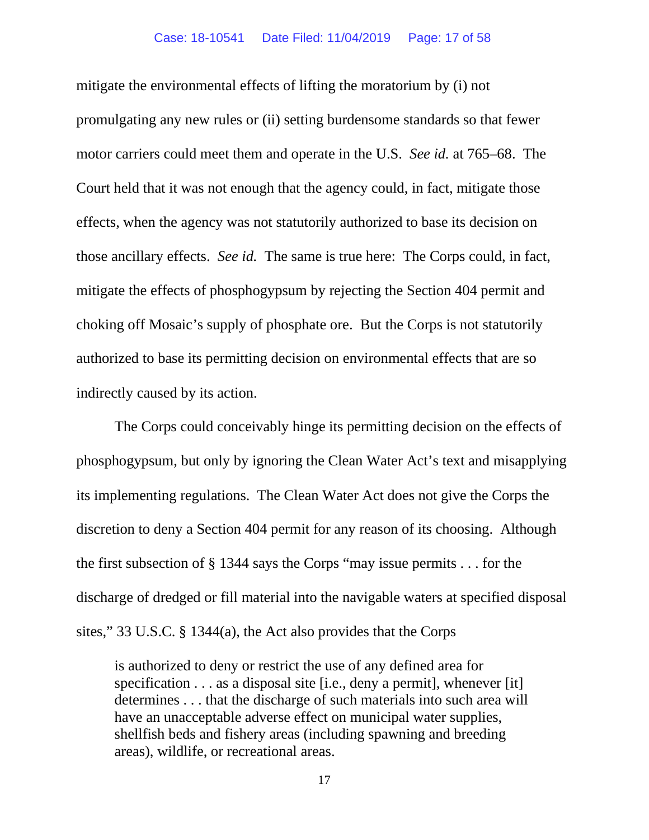mitigate the environmental effects of lifting the moratorium by (i) not promulgating any new rules or (ii) setting burdensome standards so that fewer motor carriers could meet them and operate in the U.S. *See id.* at 765–68. The Court held that it was not enough that the agency could, in fact, mitigate those effects, when the agency was not statutorily authorized to base its decision on those ancillary effects. *See id.* The same is true here: The Corps could, in fact, mitigate the effects of phosphogypsum by rejecting the Section 404 permit and choking off Mosaic's supply of phosphate ore. But the Corps is not statutorily authorized to base its permitting decision on environmental effects that are so indirectly caused by its action.

The Corps could conceivably hinge its permitting decision on the effects of phosphogypsum, but only by ignoring the Clean Water Act's text and misapplying its implementing regulations. The Clean Water Act does not give the Corps the discretion to deny a Section 404 permit for any reason of its choosing. Although the first subsection of § 1344 says the Corps "may issue permits . . . for the discharge of dredged or fill material into the navigable waters at specified disposal sites," 33 U.S.C. § 1344(a), the Act also provides that the Corps

is authorized to deny or restrict the use of any defined area for specification . . . as a disposal site [i.e., deny a permit], whenever [it] determines . . . that the discharge of such materials into such area will have an unacceptable adverse effect on municipal water supplies, shellfish beds and fishery areas (including spawning and breeding areas), wildlife, or recreational areas.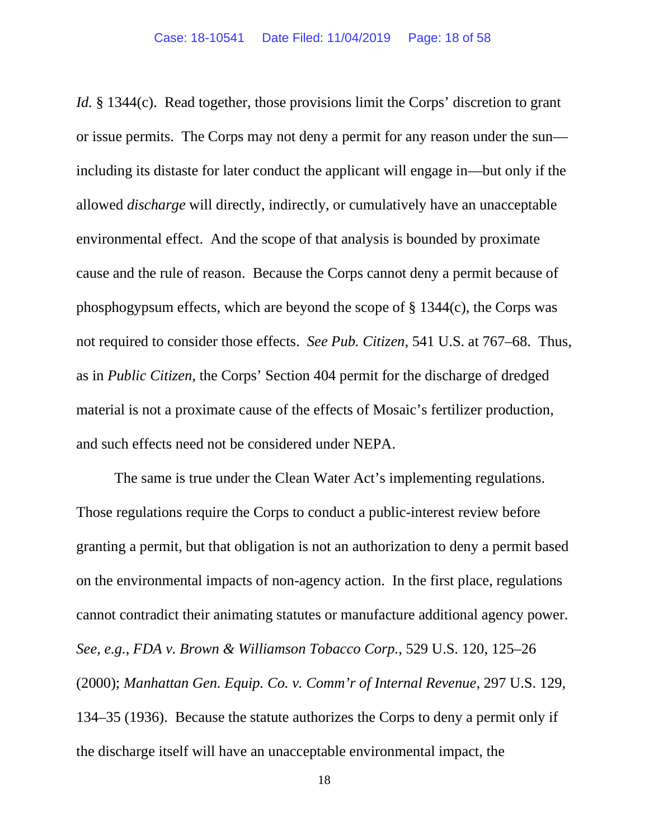*Id.* § 1344(c). Read together, those provisions limit the Corps' discretion to grant or issue permits. The Corps may not deny a permit for any reason under the sun including its distaste for later conduct the applicant will engage in—but only if the allowed *discharge* will directly, indirectly, or cumulatively have an unacceptable environmental effect. And the scope of that analysis is bounded by proximate cause and the rule of reason. Because the Corps cannot deny a permit because of phosphogypsum effects, which are beyond the scope of § 1344(c), the Corps was not required to consider those effects. *See Pub. Citizen*, 541 U.S. at 767–68. Thus, as in *Public Citizen*, the Corps' Section 404 permit for the discharge of dredged material is not a proximate cause of the effects of Mosaic's fertilizer production, and such effects need not be considered under NEPA.

The same is true under the Clean Water Act's implementing regulations. Those regulations require the Corps to conduct a public-interest review before granting a permit, but that obligation is not an authorization to deny a permit based on the environmental impacts of non-agency action. In the first place, regulations cannot contradict their animating statutes or manufacture additional agency power. *See, e.g.*, *FDA v. Brown & Williamson Tobacco Corp.*, 529 U.S. 120, 125–26 (2000); *Manhattan Gen. Equip. Co. v. Comm'r of Internal Revenue*, 297 U.S. 129, 134–35 (1936). Because the statute authorizes the Corps to deny a permit only if the discharge itself will have an unacceptable environmental impact, the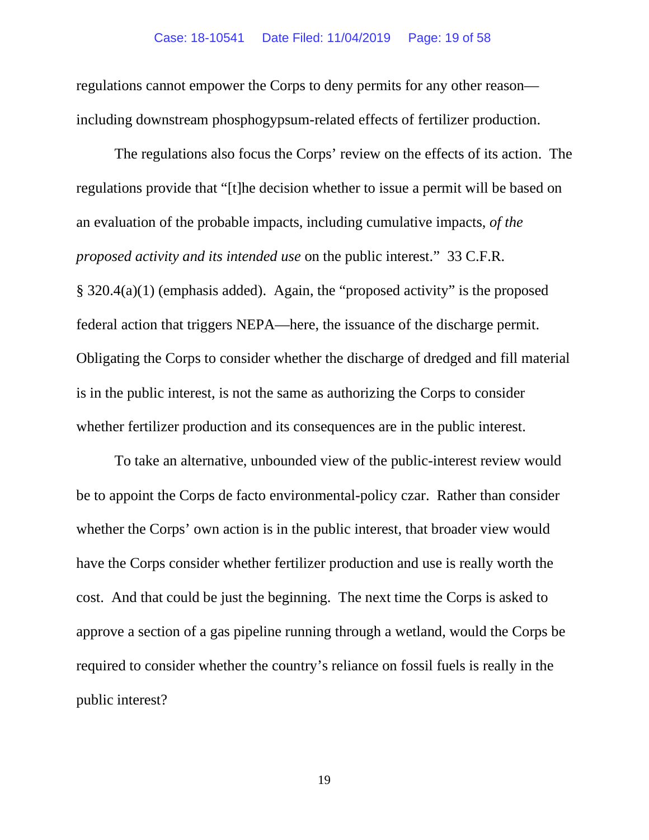regulations cannot empower the Corps to deny permits for any other reason including downstream phosphogypsum-related effects of fertilizer production.

The regulations also focus the Corps' review on the effects of its action. The regulations provide that "[t]he decision whether to issue a permit will be based on an evaluation of the probable impacts, including cumulative impacts, *of the proposed activity and its intended use* on the public interest." 33 C.F.R. § 320.4(a)(1) (emphasis added). Again, the "proposed activity" is the proposed federal action that triggers NEPA—here, the issuance of the discharge permit. Obligating the Corps to consider whether the discharge of dredged and fill material is in the public interest, is not the same as authorizing the Corps to consider whether fertilizer production and its consequences are in the public interest.

To take an alternative, unbounded view of the public-interest review would be to appoint the Corps de facto environmental-policy czar. Rather than consider whether the Corps' own action is in the public interest, that broader view would have the Corps consider whether fertilizer production and use is really worth the cost. And that could be just the beginning. The next time the Corps is asked to approve a section of a gas pipeline running through a wetland, would the Corps be required to consider whether the country's reliance on fossil fuels is really in the public interest?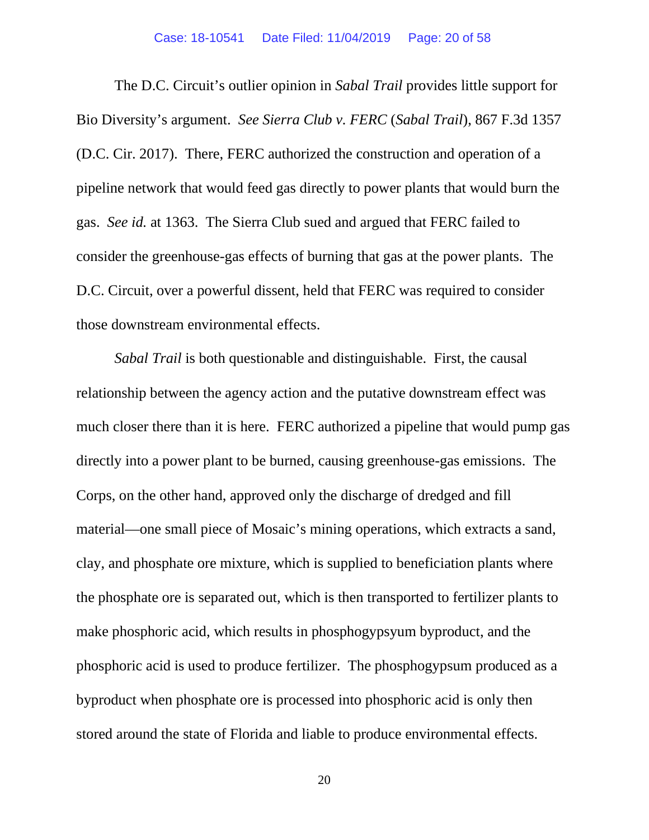The D.C. Circuit's outlier opinion in *Sabal Trail* provides little support for Bio Diversity's argument. *See Sierra Club v. FERC* (*Sabal Trail*), 867 F.3d 1357 (D.C. Cir. 2017). There, FERC authorized the construction and operation of a pipeline network that would feed gas directly to power plants that would burn the gas. *See id.* at 1363. The Sierra Club sued and argued that FERC failed to consider the greenhouse-gas effects of burning that gas at the power plants. The D.C. Circuit, over a powerful dissent, held that FERC was required to consider those downstream environmental effects.

*Sabal Trail* is both questionable and distinguishable. First, the causal relationship between the agency action and the putative downstream effect was much closer there than it is here. FERC authorized a pipeline that would pump gas directly into a power plant to be burned, causing greenhouse-gas emissions. The Corps, on the other hand, approved only the discharge of dredged and fill material—one small piece of Mosaic's mining operations, which extracts a sand, clay, and phosphate ore mixture, which is supplied to beneficiation plants where the phosphate ore is separated out, which is then transported to fertilizer plants to make phosphoric acid, which results in phosphogypsyum byproduct, and the phosphoric acid is used to produce fertilizer. The phosphogypsum produced as a byproduct when phosphate ore is processed into phosphoric acid is only then stored around the state of Florida and liable to produce environmental effects.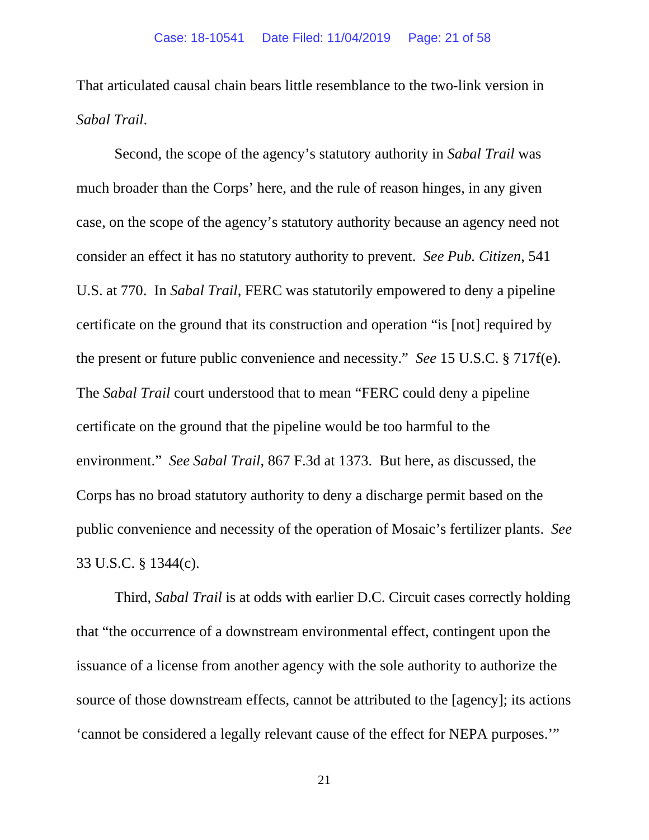That articulated causal chain bears little resemblance to the two-link version in *Sabal Trail*.

Second, the scope of the agency's statutory authority in *Sabal Trail* was much broader than the Corps' here, and the rule of reason hinges, in any given case, on the scope of the agency's statutory authority because an agency need not consider an effect it has no statutory authority to prevent. *See Pub. Citizen*, 541 U.S. at 770. In *Sabal Trail*, FERC was statutorily empowered to deny a pipeline certificate on the ground that its construction and operation "is [not] required by the present or future public convenience and necessity." *See* 15 U.S.C. § 717f(e). The *Sabal Trail* court understood that to mean "FERC could deny a pipeline certificate on the ground that the pipeline would be too harmful to the environment." *See Sabal Trail*, 867 F.3d at 1373. But here, as discussed, the Corps has no broad statutory authority to deny a discharge permit based on the public convenience and necessity of the operation of Mosaic's fertilizer plants. *See*  33 U.S.C. § 1344(c).

Third, *Sabal Trail* is at odds with earlier D.C. Circuit cases correctly holding that "the occurrence of a downstream environmental effect, contingent upon the issuance of a license from another agency with the sole authority to authorize the source of those downstream effects, cannot be attributed to the [agency]; its actions 'cannot be considered a legally relevant cause of the effect for NEPA purposes.'"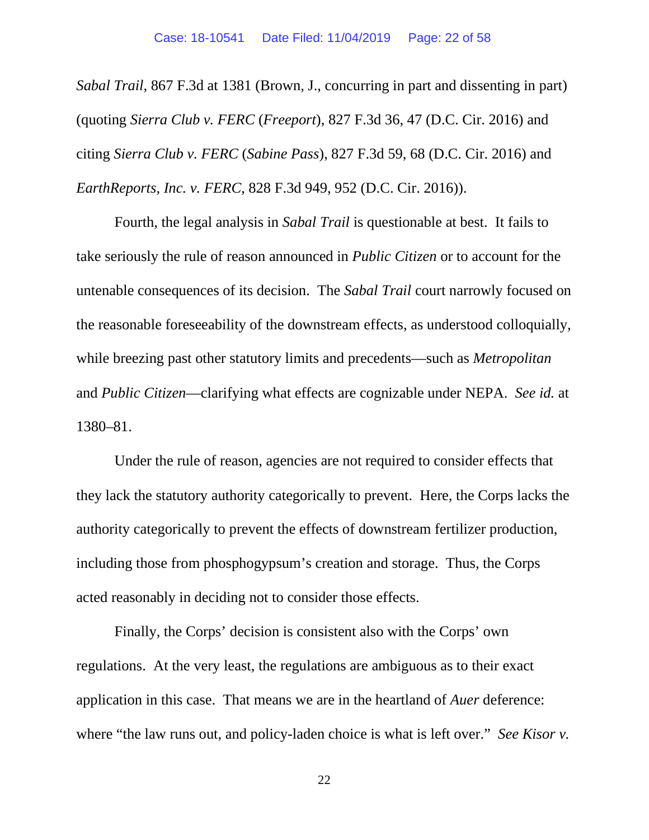*Sabal Trail*, 867 F.3d at 1381 (Brown, J., concurring in part and dissenting in part) (quoting *Sierra Club v. FERC* (*Freeport*), 827 F.3d 36, 47 (D.C. Cir. 2016) and citing *Sierra Club v. FERC* (*Sabine Pass*), 827 F.3d 59, 68 (D.C. Cir. 2016) and *EarthReports, Inc. v. FERC*, 828 F.3d 949, 952 (D.C. Cir. 2016)).

Fourth, the legal analysis in *Sabal Trail* is questionable at best. It fails to take seriously the rule of reason announced in *Public Citizen* or to account for the untenable consequences of its decision. The *Sabal Trail* court narrowly focused on the reasonable foreseeability of the downstream effects, as understood colloquially, while breezing past other statutory limits and precedents—such as *Metropolitan* and *Public Citizen*—clarifying what effects are cognizable under NEPA. *See id.* at 1380–81.

Under the rule of reason, agencies are not required to consider effects that they lack the statutory authority categorically to prevent. Here, the Corps lacks the authority categorically to prevent the effects of downstream fertilizer production, including those from phosphogypsum's creation and storage. Thus, the Corps acted reasonably in deciding not to consider those effects.

Finally, the Corps' decision is consistent also with the Corps' own regulations. At the very least, the regulations are ambiguous as to their exact application in this case. That means we are in the heartland of *Auer* deference: where "the law runs out, and policy-laden choice is what is left over." *See Kisor v.*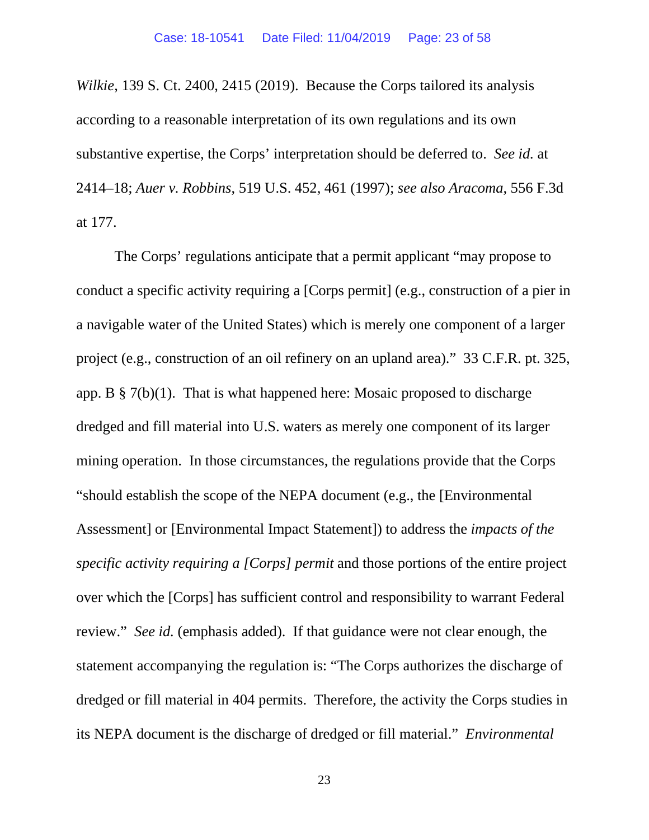*Wilkie*, 139 S. Ct. 2400, 2415 (2019). Because the Corps tailored its analysis according to a reasonable interpretation of its own regulations and its own substantive expertise, the Corps' interpretation should be deferred to. *See id.* at 2414–18; *Auer v. Robbins*, 519 U.S. 452, 461 (1997); *see also Aracoma*, 556 F.3d at 177.

The Corps' regulations anticipate that a permit applicant "may propose to conduct a specific activity requiring a [Corps permit] (e.g., construction of a pier in a navigable water of the United States) which is merely one component of a larger project (e.g., construction of an oil refinery on an upland area)." 33 C.F.R. pt. 325, app. B  $\S$  7(b)(1). That is what happened here: Mosaic proposed to discharge dredged and fill material into U.S. waters as merely one component of its larger mining operation. In those circumstances, the regulations provide that the Corps "should establish the scope of the NEPA document (e.g., the [Environmental Assessment] or [Environmental Impact Statement]) to address the *impacts of the specific activity requiring a [Corps] permit* and those portions of the entire project over which the [Corps] has sufficient control and responsibility to warrant Federal review." *See id.* (emphasis added). If that guidance were not clear enough, the statement accompanying the regulation is: "The Corps authorizes the discharge of dredged or fill material in 404 permits. Therefore, the activity the Corps studies in its NEPA document is the discharge of dredged or fill material." *Environmental*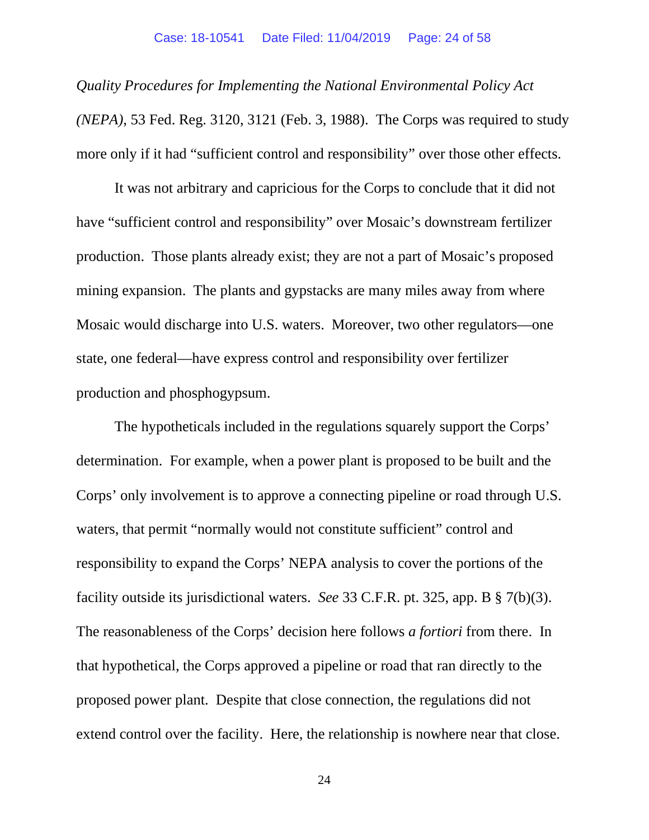*Quality Procedures for Implementing the National Environmental Policy Act (NEPA)*, 53 Fed. Reg. 3120, 3121 (Feb. 3, 1988). The Corps was required to study more only if it had "sufficient control and responsibility" over those other effects.

It was not arbitrary and capricious for the Corps to conclude that it did not have "sufficient control and responsibility" over Mosaic's downstream fertilizer production. Those plants already exist; they are not a part of Mosaic's proposed mining expansion. The plants and gypstacks are many miles away from where Mosaic would discharge into U.S. waters. Moreover, two other regulators—one state, one federal—have express control and responsibility over fertilizer production and phosphogypsum.

The hypotheticals included in the regulations squarely support the Corps' determination. For example, when a power plant is proposed to be built and the Corps' only involvement is to approve a connecting pipeline or road through U.S. waters, that permit "normally would not constitute sufficient" control and responsibility to expand the Corps' NEPA analysis to cover the portions of the facility outside its jurisdictional waters. *See* 33 C.F.R. pt. 325, app. B § 7(b)(3). The reasonableness of the Corps' decision here follows *a fortiori* from there. In that hypothetical, the Corps approved a pipeline or road that ran directly to the proposed power plant. Despite that close connection, the regulations did not extend control over the facility. Here, the relationship is nowhere near that close.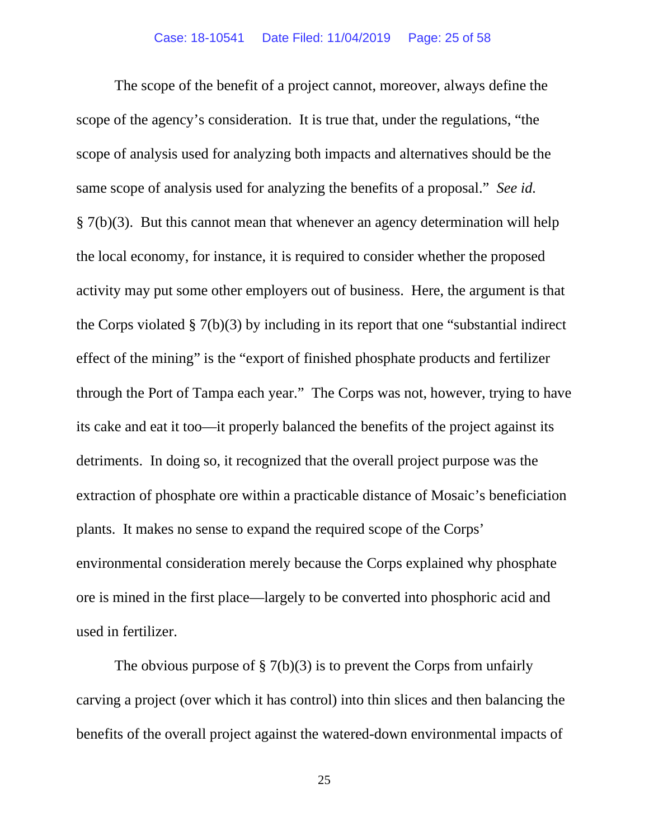The scope of the benefit of a project cannot, moreover, always define the scope of the agency's consideration. It is true that, under the regulations, "the scope of analysis used for analyzing both impacts and alternatives should be the same scope of analysis used for analyzing the benefits of a proposal." *See id.* § 7(b)(3). But this cannot mean that whenever an agency determination will help the local economy, for instance, it is required to consider whether the proposed activity may put some other employers out of business. Here, the argument is that the Corps violated § 7(b)(3) by including in its report that one "substantial indirect effect of the mining" is the "export of finished phosphate products and fertilizer through the Port of Tampa each year." The Corps was not, however, trying to have its cake and eat it too—it properly balanced the benefits of the project against its detriments. In doing so, it recognized that the overall project purpose was the extraction of phosphate ore within a practicable distance of Mosaic's beneficiation plants. It makes no sense to expand the required scope of the Corps' environmental consideration merely because the Corps explained why phosphate ore is mined in the first place—largely to be converted into phosphoric acid and used in fertilizer.

The obvious purpose of  $\S 7(b)(3)$  is to prevent the Corps from unfairly carving a project (over which it has control) into thin slices and then balancing the benefits of the overall project against the watered-down environmental impacts of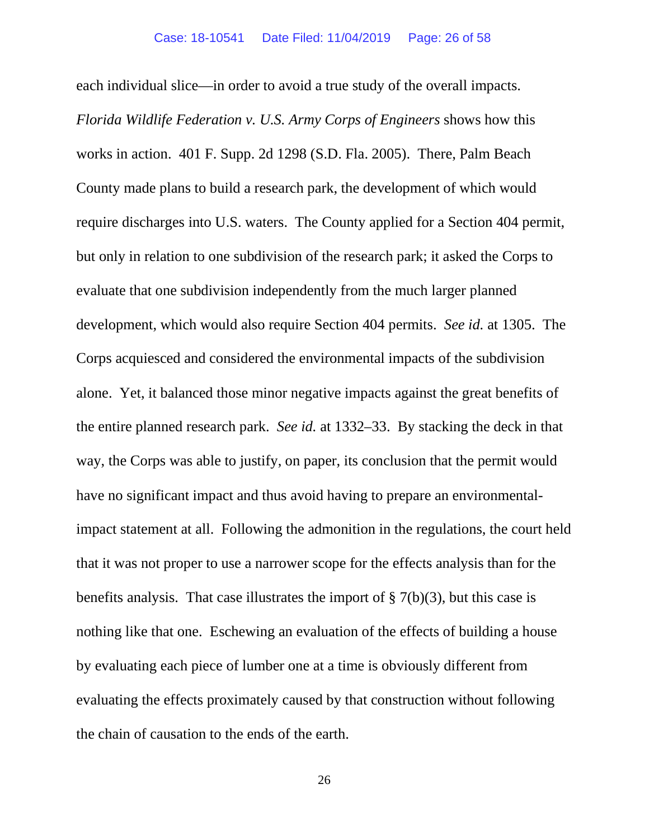each individual slice—in order to avoid a true study of the overall impacts. *Florida Wildlife Federation v. U.S. Army Corps of Engineers* shows how this works in action. 401 F. Supp. 2d 1298 (S.D. Fla. 2005). There, Palm Beach County made plans to build a research park, the development of which would require discharges into U.S. waters. The County applied for a Section 404 permit, but only in relation to one subdivision of the research park; it asked the Corps to evaluate that one subdivision independently from the much larger planned development, which would also require Section 404 permits. *See id.* at 1305. The Corps acquiesced and considered the environmental impacts of the subdivision alone. Yet, it balanced those minor negative impacts against the great benefits of the entire planned research park. *See id.* at 1332–33. By stacking the deck in that way, the Corps was able to justify, on paper, its conclusion that the permit would have no significant impact and thus avoid having to prepare an environmentalimpact statement at all. Following the admonition in the regulations, the court held that it was not proper to use a narrower scope for the effects analysis than for the benefits analysis. That case illustrates the import of  $\S 7(b)(3)$ , but this case is nothing like that one. Eschewing an evaluation of the effects of building a house by evaluating each piece of lumber one at a time is obviously different from evaluating the effects proximately caused by that construction without following the chain of causation to the ends of the earth.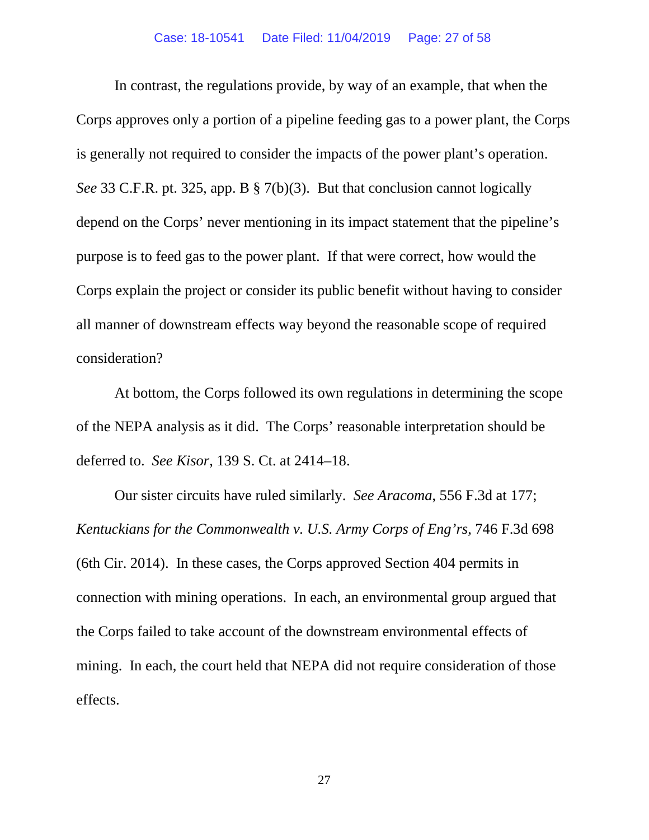In contrast, the regulations provide, by way of an example, that when the Corps approves only a portion of a pipeline feeding gas to a power plant, the Corps is generally not required to consider the impacts of the power plant's operation. *See* 33 C.F.R. pt. 325, app. B § 7(b)(3). But that conclusion cannot logically depend on the Corps' never mentioning in its impact statement that the pipeline's purpose is to feed gas to the power plant. If that were correct, how would the Corps explain the project or consider its public benefit without having to consider all manner of downstream effects way beyond the reasonable scope of required consideration?

At bottom, the Corps followed its own regulations in determining the scope of the NEPA analysis as it did. The Corps' reasonable interpretation should be deferred to. *See Kisor*, 139 S. Ct. at 2414–18.

Our sister circuits have ruled similarly. *See Aracoma*, 556 F.3d at 177; *Kentuckians for the Commonwealth v. U.S. Army Corps of Eng'rs*, 746 F.3d 698 (6th Cir. 2014). In these cases, the Corps approved Section 404 permits in connection with mining operations. In each, an environmental group argued that the Corps failed to take account of the downstream environmental effects of mining. In each, the court held that NEPA did not require consideration of those effects.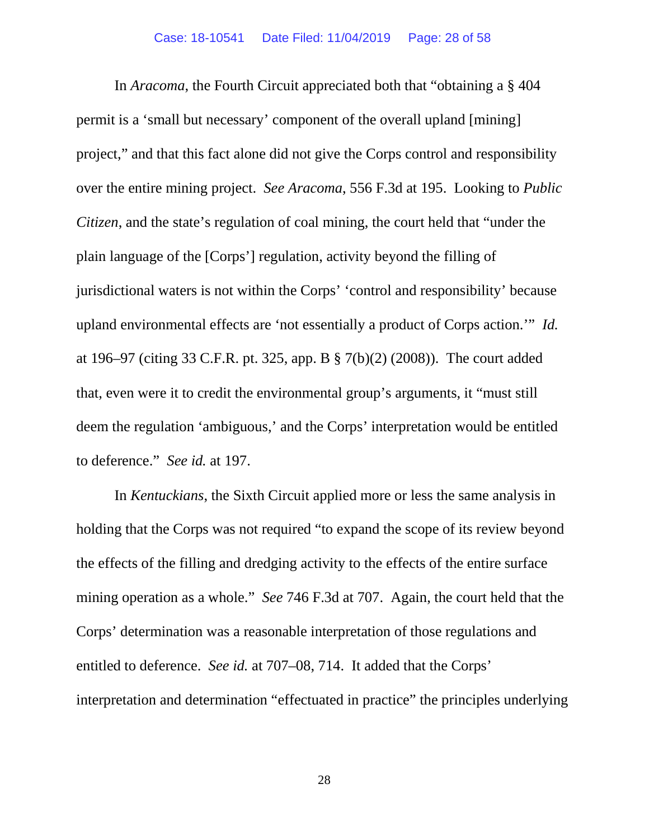In *Aracoma*, the Fourth Circuit appreciated both that "obtaining a § 404 permit is a 'small but necessary' component of the overall upland [mining] project," and that this fact alone did not give the Corps control and responsibility over the entire mining project. *See Aracoma*, 556 F.3d at 195. Looking to *Public Citizen*, and the state's regulation of coal mining, the court held that "under the plain language of the [Corps'] regulation, activity beyond the filling of jurisdictional waters is not within the Corps' 'control and responsibility' because upland environmental effects are 'not essentially a product of Corps action.'" *Id.* at 196–97 (citing 33 C.F.R. pt. 325, app. B § 7(b)(2) (2008)). The court added that, even were it to credit the environmental group's arguments, it "must still deem the regulation 'ambiguous,' and the Corps' interpretation would be entitled to deference." *See id.* at 197.

In *Kentuckians*, the Sixth Circuit applied more or less the same analysis in holding that the Corps was not required "to expand the scope of its review beyond the effects of the filling and dredging activity to the effects of the entire surface mining operation as a whole." *See* 746 F.3d at 707. Again, the court held that the Corps' determination was a reasonable interpretation of those regulations and entitled to deference. *See id.* at 707–08, 714. It added that the Corps' interpretation and determination "effectuated in practice" the principles underlying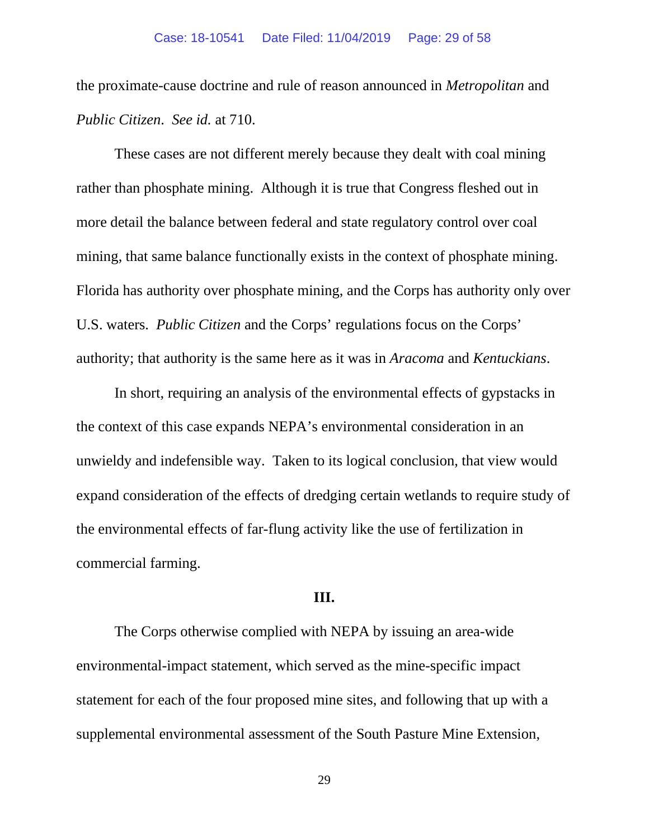the proximate-cause doctrine and rule of reason announced in *Metropolitan* and *Public Citizen*. *See id.* at 710.

These cases are not different merely because they dealt with coal mining rather than phosphate mining. Although it is true that Congress fleshed out in more detail the balance between federal and state regulatory control over coal mining, that same balance functionally exists in the context of phosphate mining. Florida has authority over phosphate mining, and the Corps has authority only over U.S. waters. *Public Citizen* and the Corps' regulations focus on the Corps' authority; that authority is the same here as it was in *Aracoma* and *Kentuckians*.

In short, requiring an analysis of the environmental effects of gypstacks in the context of this case expands NEPA's environmental consideration in an unwieldy and indefensible way. Taken to its logical conclusion, that view would expand consideration of the effects of dredging certain wetlands to require study of the environmental effects of far-flung activity like the use of fertilization in commercial farming.

## **III.**

The Corps otherwise complied with NEPA by issuing an area-wide environmental-impact statement, which served as the mine-specific impact statement for each of the four proposed mine sites, and following that up with a supplemental environmental assessment of the South Pasture Mine Extension,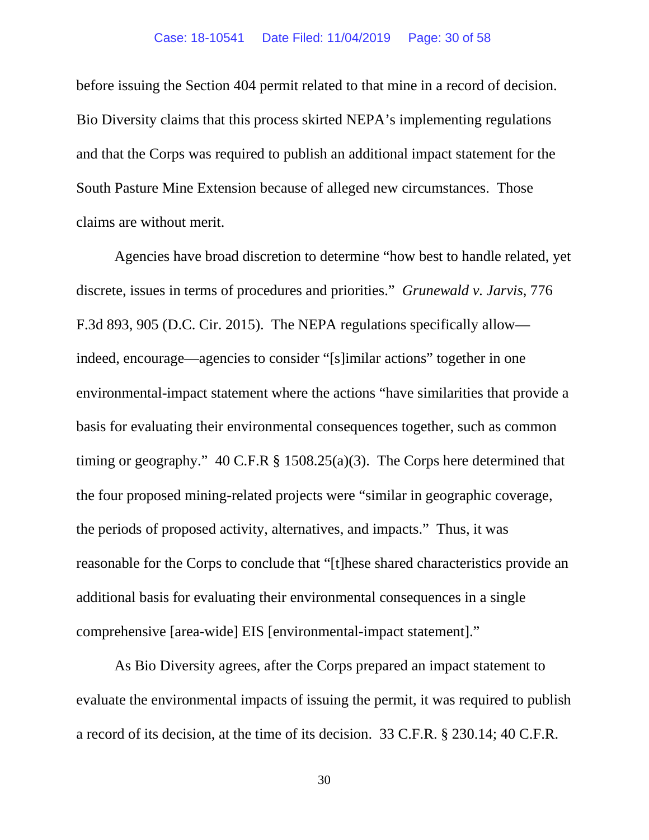before issuing the Section 404 permit related to that mine in a record of decision. Bio Diversity claims that this process skirted NEPA's implementing regulations and that the Corps was required to publish an additional impact statement for the South Pasture Mine Extension because of alleged new circumstances. Those claims are without merit.

Agencies have broad discretion to determine "how best to handle related, yet discrete, issues in terms of procedures and priorities." *Grunewald v. Jarvis*, 776 F.3d 893, 905 (D.C. Cir. 2015). The NEPA regulations specifically allow indeed, encourage—agencies to consider "[s]imilar actions" together in one environmental-impact statement where the actions "have similarities that provide a basis for evaluating their environmental consequences together, such as common timing or geography." 40 C.F.R § 1508.25(a)(3). The Corps here determined that the four proposed mining-related projects were "similar in geographic coverage, the periods of proposed activity, alternatives, and impacts." Thus, it was reasonable for the Corps to conclude that "[t]hese shared characteristics provide an additional basis for evaluating their environmental consequences in a single comprehensive [area-wide] EIS [environmental-impact statement]."

As Bio Diversity agrees, after the Corps prepared an impact statement to evaluate the environmental impacts of issuing the permit, it was required to publish a record of its decision, at the time of its decision. 33 C.F.R. § 230.14; 40 C.F.R.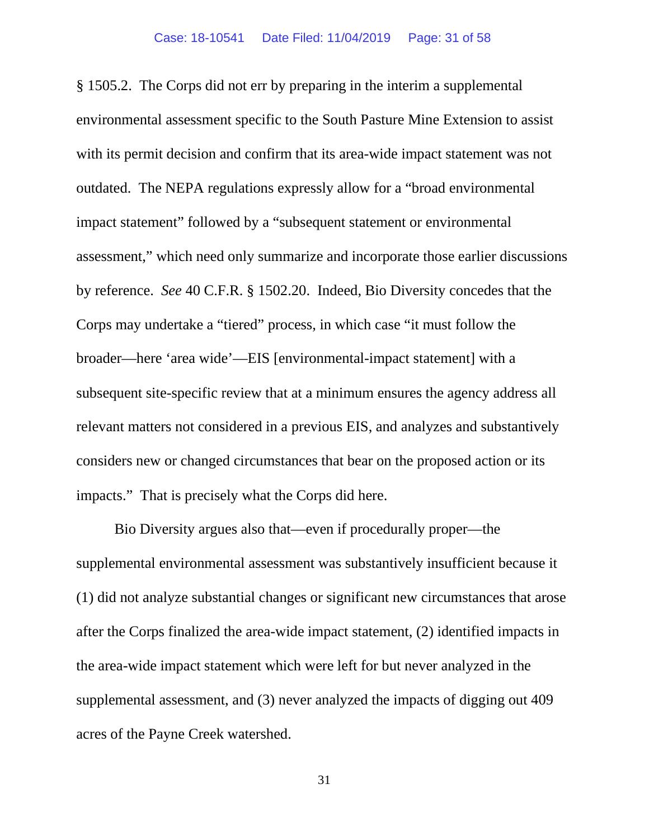§ 1505.2. The Corps did not err by preparing in the interim a supplemental environmental assessment specific to the South Pasture Mine Extension to assist with its permit decision and confirm that its area-wide impact statement was not outdated. The NEPA regulations expressly allow for a "broad environmental impact statement" followed by a "subsequent statement or environmental assessment," which need only summarize and incorporate those earlier discussions by reference. *See* 40 C.F.R. § 1502.20. Indeed, Bio Diversity concedes that the Corps may undertake a "tiered" process, in which case "it must follow the broader—here 'area wide'—EIS [environmental-impact statement] with a subsequent site-specific review that at a minimum ensures the agency address all relevant matters not considered in a previous EIS, and analyzes and substantively considers new or changed circumstances that bear on the proposed action or its impacts." That is precisely what the Corps did here.

Bio Diversity argues also that—even if procedurally proper—the supplemental environmental assessment was substantively insufficient because it (1) did not analyze substantial changes or significant new circumstances that arose after the Corps finalized the area-wide impact statement, (2) identified impacts in the area-wide impact statement which were left for but never analyzed in the supplemental assessment, and (3) never analyzed the impacts of digging out 409 acres of the Payne Creek watershed.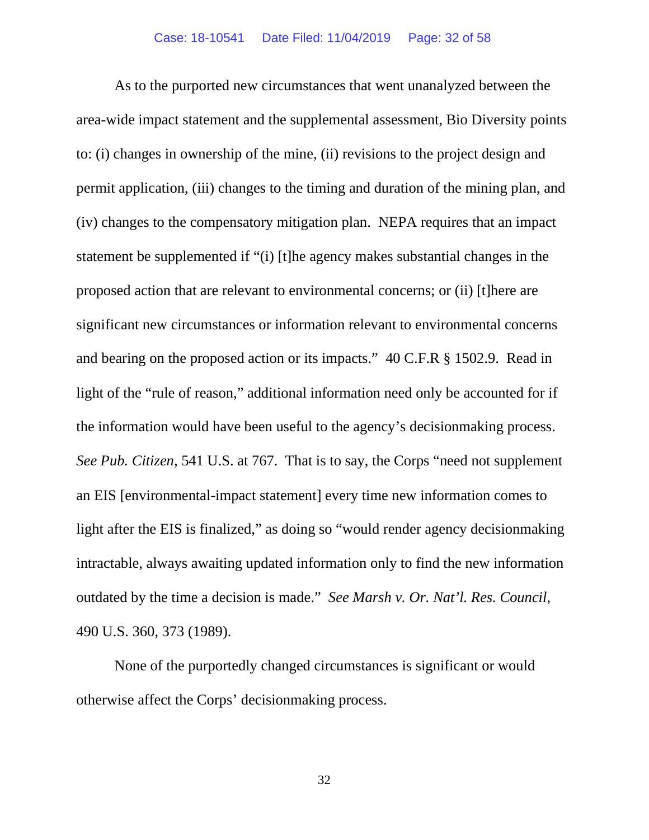As to the purported new circumstances that went unanalyzed between the area-wide impact statement and the supplemental assessment, Bio Diversity points to: (i) changes in ownership of the mine, (ii) revisions to the project design and permit application, (iii) changes to the timing and duration of the mining plan, and (iv) changes to the compensatory mitigation plan. NEPA requires that an impact statement be supplemented if "(i) [t]he agency makes substantial changes in the proposed action that are relevant to environmental concerns; or (ii) [t]here are significant new circumstances or information relevant to environmental concerns and bearing on the proposed action or its impacts." 40 C.F.R § 1502.9. Read in light of the "rule of reason," additional information need only be accounted for if the information would have been useful to the agency's decisionmaking process. *See Pub. Citizen*, 541 U.S. at 767. That is to say, the Corps "need not supplement an EIS [environmental-impact statement] every time new information comes to light after the EIS is finalized," as doing so "would render agency decisionmaking intractable, always awaiting updated information only to find the new information outdated by the time a decision is made." *See Marsh v. Or. Nat'l. Res. Council*, 490 U.S. 360, 373 (1989).

None of the purportedly changed circumstances is significant or would otherwise affect the Corps' decisionmaking process.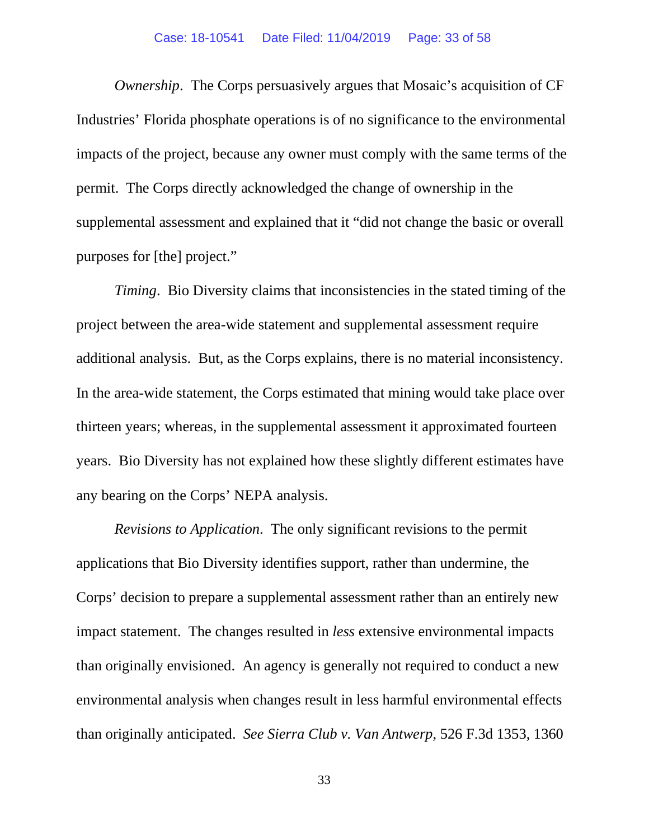*Ownership*. The Corps persuasively argues that Mosaic's acquisition of CF Industries' Florida phosphate operations is of no significance to the environmental impacts of the project, because any owner must comply with the same terms of the permit. The Corps directly acknowledged the change of ownership in the supplemental assessment and explained that it "did not change the basic or overall purposes for [the] project."

*Timing*. Bio Diversity claims that inconsistencies in the stated timing of the project between the area-wide statement and supplemental assessment require additional analysis. But, as the Corps explains, there is no material inconsistency. In the area-wide statement, the Corps estimated that mining would take place over thirteen years; whereas, in the supplemental assessment it approximated fourteen years. Bio Diversity has not explained how these slightly different estimates have any bearing on the Corps' NEPA analysis.

*Revisions to Application*. The only significant revisions to the permit applications that Bio Diversity identifies support, rather than undermine, the Corps' decision to prepare a supplemental assessment rather than an entirely new impact statement. The changes resulted in *less* extensive environmental impacts than originally envisioned. An agency is generally not required to conduct a new environmental analysis when changes result in less harmful environmental effects than originally anticipated. *See Sierra Club v. Van Antwerp*, 526 F.3d 1353, 1360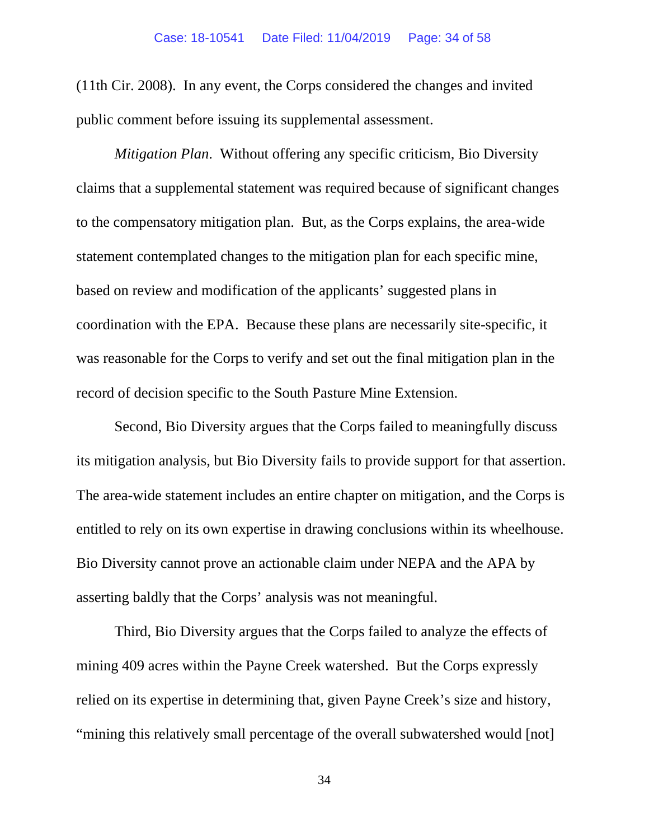(11th Cir. 2008). In any event, the Corps considered the changes and invited public comment before issuing its supplemental assessment.

*Mitigation Plan*. Without offering any specific criticism, Bio Diversity claims that a supplemental statement was required because of significant changes to the compensatory mitigation plan. But, as the Corps explains, the area-wide statement contemplated changes to the mitigation plan for each specific mine, based on review and modification of the applicants' suggested plans in coordination with the EPA. Because these plans are necessarily site-specific, it was reasonable for the Corps to verify and set out the final mitigation plan in the record of decision specific to the South Pasture Mine Extension.

Second, Bio Diversity argues that the Corps failed to meaningfully discuss its mitigation analysis, but Bio Diversity fails to provide support for that assertion. The area-wide statement includes an entire chapter on mitigation, and the Corps is entitled to rely on its own expertise in drawing conclusions within its wheelhouse. Bio Diversity cannot prove an actionable claim under NEPA and the APA by asserting baldly that the Corps' analysis was not meaningful.

Third, Bio Diversity argues that the Corps failed to analyze the effects of mining 409 acres within the Payne Creek watershed. But the Corps expressly relied on its expertise in determining that, given Payne Creek's size and history, "mining this relatively small percentage of the overall subwatershed would [not]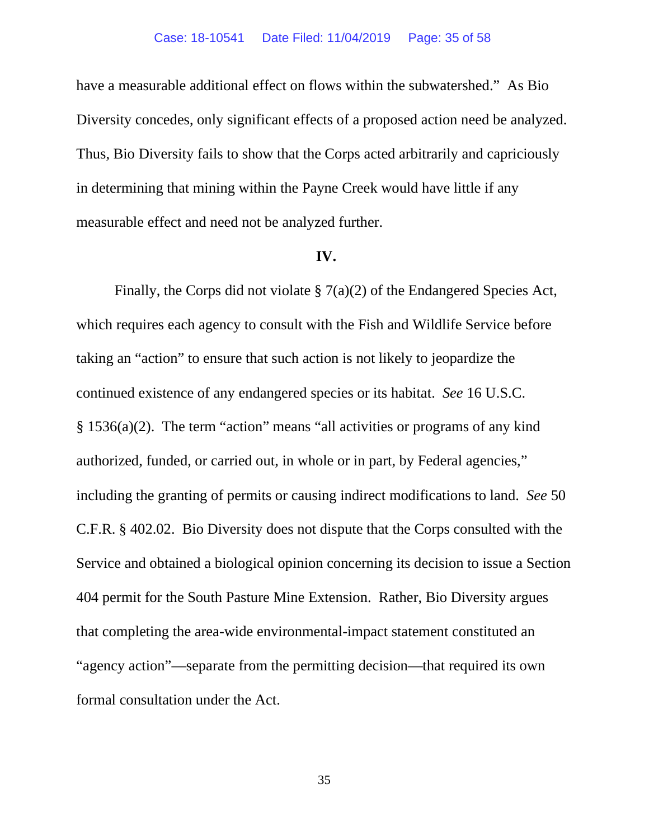have a measurable additional effect on flows within the subwatershed." As Bio Diversity concedes, only significant effects of a proposed action need be analyzed. Thus, Bio Diversity fails to show that the Corps acted arbitrarily and capriciously in determining that mining within the Payne Creek would have little if any measurable effect and need not be analyzed further.

#### **IV.**

Finally, the Corps did not violate § 7(a)(2) of the Endangered Species Act, which requires each agency to consult with the Fish and Wildlife Service before taking an "action" to ensure that such action is not likely to jeopardize the continued existence of any endangered species or its habitat. *See* 16 U.S.C. § 1536(a)(2). The term "action" means "all activities or programs of any kind authorized, funded, or carried out, in whole or in part, by Federal agencies," including the granting of permits or causing indirect modifications to land. *See* 50 C.F.R. § 402.02. Bio Diversity does not dispute that the Corps consulted with the Service and obtained a biological opinion concerning its decision to issue a Section 404 permit for the South Pasture Mine Extension. Rather, Bio Diversity argues that completing the area-wide environmental-impact statement constituted an "agency action"—separate from the permitting decision—that required its own formal consultation under the Act.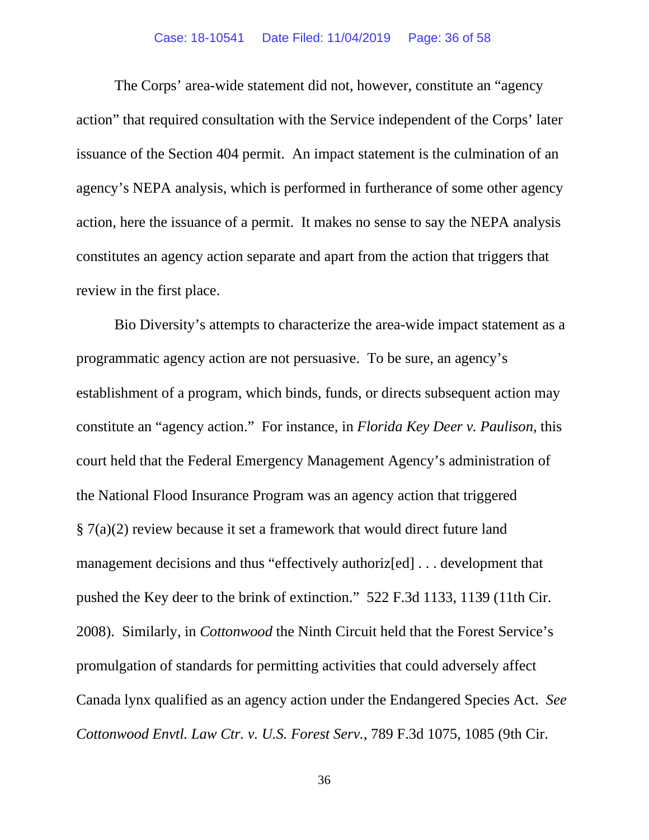### Case: 18-10541 Date Filed: 11/04/2019 Page: 36 of 58

The Corps' area-wide statement did not, however, constitute an "agency action" that required consultation with the Service independent of the Corps' later issuance of the Section 404 permit. An impact statement is the culmination of an agency's NEPA analysis, which is performed in furtherance of some other agency action, here the issuance of a permit. It makes no sense to say the NEPA analysis constitutes an agency action separate and apart from the action that triggers that review in the first place.

Bio Diversity's attempts to characterize the area-wide impact statement as a programmatic agency action are not persuasive. To be sure, an agency's establishment of a program, which binds, funds, or directs subsequent action may constitute an "agency action." For instance, in *Florida Key Deer v. Paulison*, this court held that the Federal Emergency Management Agency's administration of the National Flood Insurance Program was an agency action that triggered § 7(a)(2) review because it set a framework that would direct future land management decisions and thus "effectively authoriz[ed] . . . development that pushed the Key deer to the brink of extinction." 522 F.3d 1133, 1139 (11th Cir. 2008). Similarly, in *Cottonwood* the Ninth Circuit held that the Forest Service's promulgation of standards for permitting activities that could adversely affect Canada lynx qualified as an agency action under the Endangered Species Act. *See Cottonwood Envtl. Law Ctr. v. U.S. Forest Serv.*, 789 F.3d 1075, 1085 (9th Cir.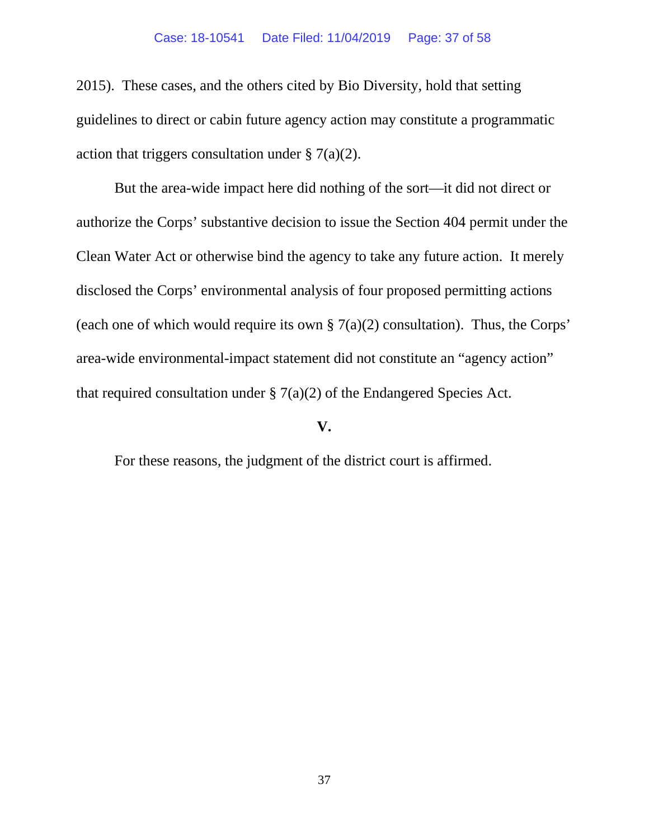2015). These cases, and the others cited by Bio Diversity, hold that setting guidelines to direct or cabin future agency action may constitute a programmatic action that triggers consultation under  $\S 7(a)(2)$ .

But the area-wide impact here did nothing of the sort—it did not direct or authorize the Corps' substantive decision to issue the Section 404 permit under the Clean Water Act or otherwise bind the agency to take any future action. It merely disclosed the Corps' environmental analysis of four proposed permitting actions (each one of which would require its own  $\S 7(a)(2)$  consultation). Thus, the Corps' area-wide environmental-impact statement did not constitute an "agency action" that required consultation under  $\S 7(a)(2)$  of the Endangered Species Act.

## **V.**

For these reasons, the judgment of the district court is affirmed.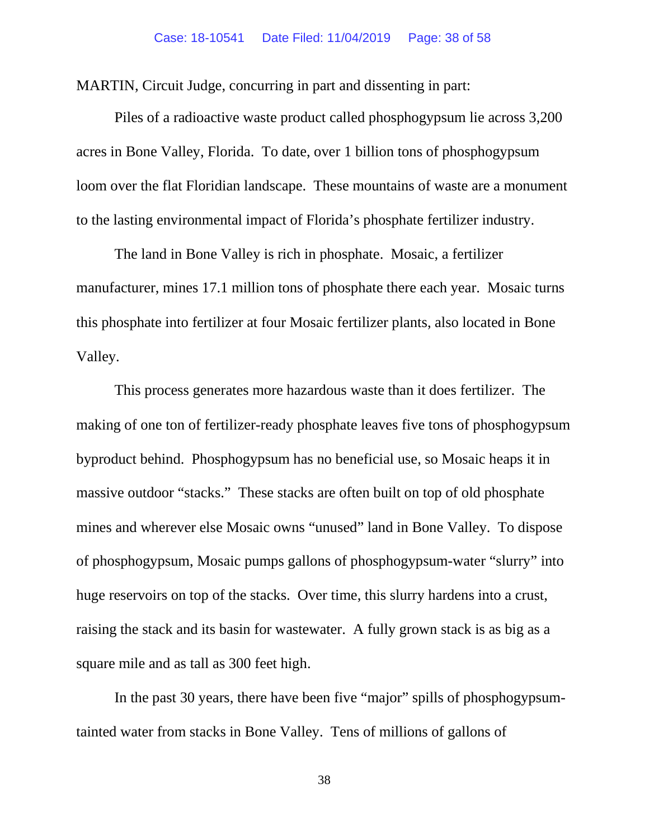MARTIN, Circuit Judge, concurring in part and dissenting in part:

Piles of a radioactive waste product called phosphogypsum lie across 3,200 acres in Bone Valley, Florida. To date, over 1 billion tons of phosphogypsum loom over the flat Floridian landscape. These mountains of waste are a monument to the lasting environmental impact of Florida's phosphate fertilizer industry.

The land in Bone Valley is rich in phosphate. Mosaic, a fertilizer manufacturer, mines 17.1 million tons of phosphate there each year. Mosaic turns this phosphate into fertilizer at four Mosaic fertilizer plants, also located in Bone Valley.

This process generates more hazardous waste than it does fertilizer. The making of one ton of fertilizer-ready phosphate leaves five tons of phosphogypsum byproduct behind. Phosphogypsum has no beneficial use, so Mosaic heaps it in massive outdoor "stacks." These stacks are often built on top of old phosphate mines and wherever else Mosaic owns "unused" land in Bone Valley. To dispose of phosphogypsum, Mosaic pumps gallons of phosphogypsum-water "slurry" into huge reservoirs on top of the stacks. Over time, this slurry hardens into a crust, raising the stack and its basin for wastewater. A fully grown stack is as big as a square mile and as tall as 300 feet high.

In the past 30 years, there have been five "major" spills of phosphogypsumtainted water from stacks in Bone Valley. Tens of millions of gallons of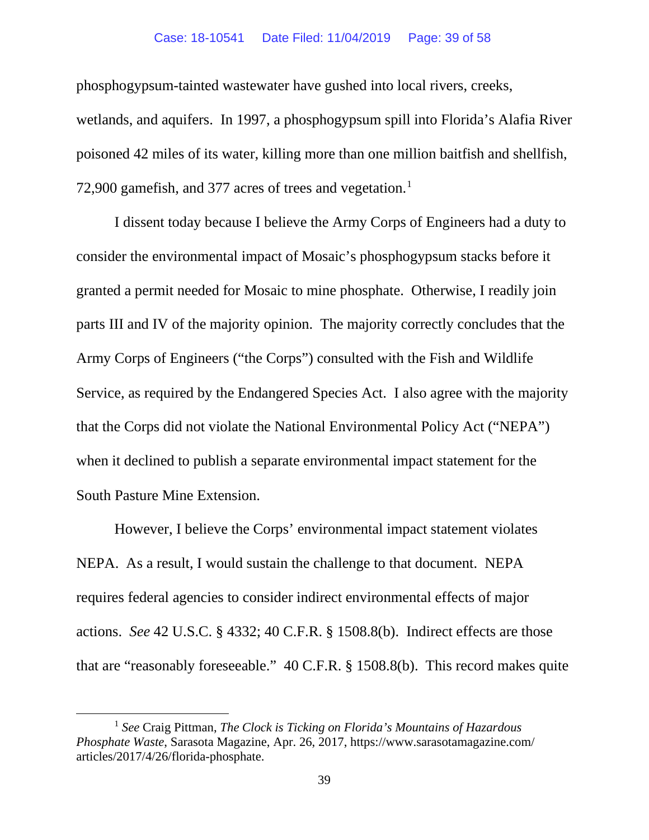#### Case: 18-10541 Date Filed: 11/04/2019 Page: 39 of 58

phosphogypsum-tainted wastewater have gushed into local rivers, creeks, wetlands, and aquifers. In 1997, a phosphogypsum spill into Florida's Alafia River poisoned 42 miles of its water, killing more than one million baitfish and shellfish, 72,900 gamefish, and 377 acres of trees and vegetation.<sup>[1](#page-38-0)</sup>

I dissent today because I believe the Army Corps of Engineers had a duty to consider the environmental impact of Mosaic's phosphogypsum stacks before it granted a permit needed for Mosaic to mine phosphate. Otherwise, I readily join parts III and IV of the majority opinion. The majority correctly concludes that the Army Corps of Engineers ("the Corps") consulted with the Fish and Wildlife Service, as required by the Endangered Species Act. I also agree with the majority that the Corps did not violate the National Environmental Policy Act ("NEPA") when it declined to publish a separate environmental impact statement for the South Pasture Mine Extension.

However, I believe the Corps' environmental impact statement violates NEPA. As a result, I would sustain the challenge to that document. NEPA requires federal agencies to consider indirect environmental effects of major actions. *See* 42 U.S.C. § 4332; 40 C.F.R. § 1508.8(b). Indirect effects are those that are "reasonably foreseeable." 40 C.F.R. § 1508.8(b). This record makes quite

<span id="page-38-0"></span><sup>1</sup> *See* Craig Pittman, *The Clock is Ticking on Florida's Mountains of Hazardous Phosphate Waste*, Sarasota Magazine, Apr. 26, 2017, https://www.sarasotamagazine.com/ articles/2017/4/26/florida-phosphate.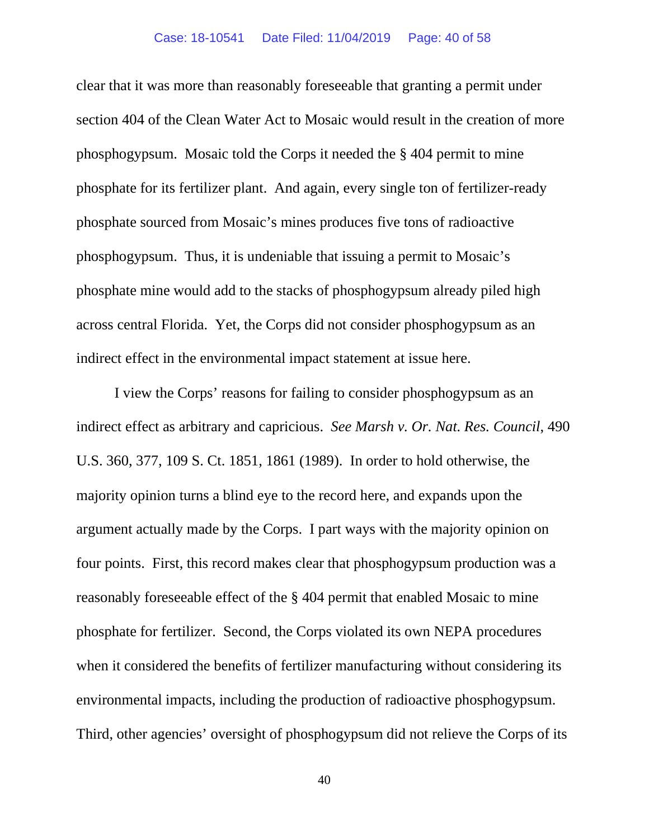clear that it was more than reasonably foreseeable that granting a permit under section 404 of the Clean Water Act to Mosaic would result in the creation of more phosphogypsum. Mosaic told the Corps it needed the § 404 permit to mine phosphate for its fertilizer plant. And again, every single ton of fertilizer-ready phosphate sourced from Mosaic's mines produces five tons of radioactive phosphogypsum. Thus, it is undeniable that issuing a permit to Mosaic's phosphate mine would add to the stacks of phosphogypsum already piled high across central Florida. Yet, the Corps did not consider phosphogypsum as an indirect effect in the environmental impact statement at issue here.

I view the Corps' reasons for failing to consider phosphogypsum as an indirect effect as arbitrary and capricious. *See Marsh v. Or. Nat. Res. Council*, 490 U.S. 360, 377, 109 S. Ct. 1851, 1861 (1989). In order to hold otherwise, the majority opinion turns a blind eye to the record here, and expands upon the argument actually made by the Corps. I part ways with the majority opinion on four points. First, this record makes clear that phosphogypsum production was a reasonably foreseeable effect of the § 404 permit that enabled Mosaic to mine phosphate for fertilizer. Second, the Corps violated its own NEPA procedures when it considered the benefits of fertilizer manufacturing without considering its environmental impacts, including the production of radioactive phosphogypsum. Third, other agencies' oversight of phosphogypsum did not relieve the Corps of its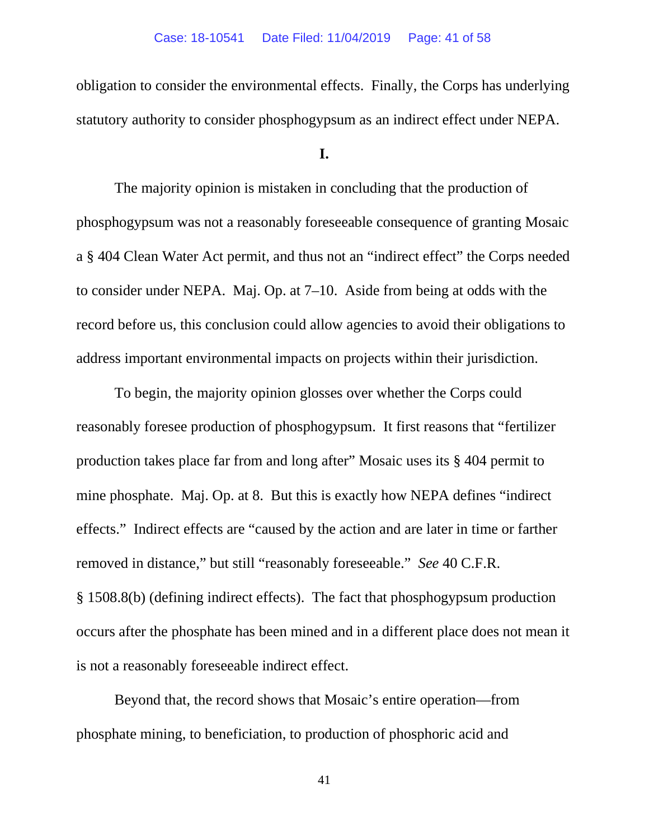obligation to consider the environmental effects. Finally, the Corps has underlying statutory authority to consider phosphogypsum as an indirect effect under NEPA.

## **I.**

The majority opinion is mistaken in concluding that the production of phosphogypsum was not a reasonably foreseeable consequence of granting Mosaic a § 404 Clean Water Act permit, and thus not an "indirect effect" the Corps needed to consider under NEPA. Maj. Op. at 7–10. Aside from being at odds with the record before us, this conclusion could allow agencies to avoid their obligations to address important environmental impacts on projects within their jurisdiction.

To begin, the majority opinion glosses over whether the Corps could reasonably foresee production of phosphogypsum. It first reasons that "fertilizer production takes place far from and long after" Mosaic uses its § 404 permit to mine phosphate. Maj. Op. at 8. But this is exactly how NEPA defines "indirect effects." Indirect effects are "caused by the action and are later in time or farther removed in distance," but still "reasonably foreseeable." *See* 40 C.F.R. § 1508.8(b) (defining indirect effects). The fact that phosphogypsum production occurs after the phosphate has been mined and in a different place does not mean it is not a reasonably foreseeable indirect effect.

Beyond that, the record shows that Mosaic's entire operation—from phosphate mining, to beneficiation, to production of phosphoric acid and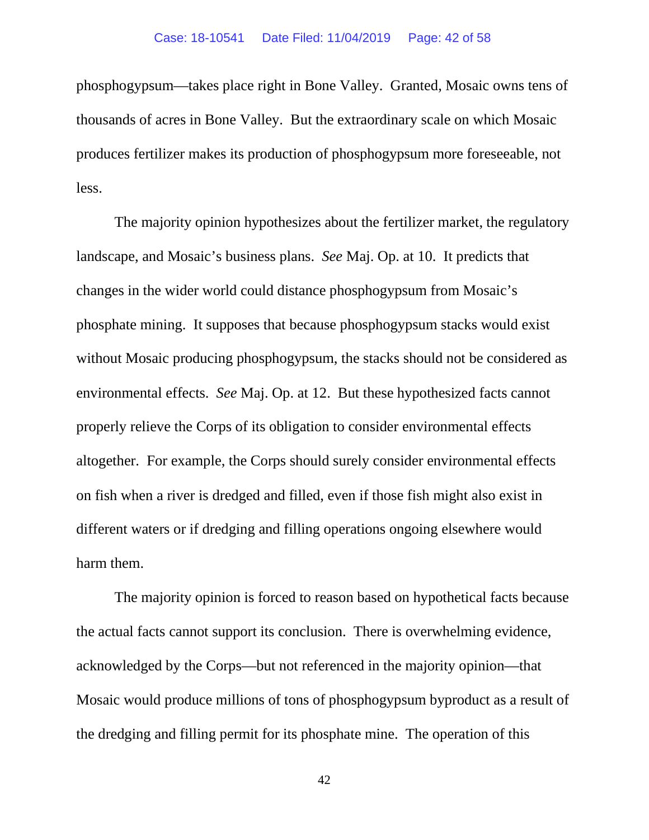phosphogypsum—takes place right in Bone Valley. Granted, Mosaic owns tens of thousands of acres in Bone Valley. But the extraordinary scale on which Mosaic produces fertilizer makes its production of phosphogypsum more foreseeable, not less.

The majority opinion hypothesizes about the fertilizer market, the regulatory landscape, and Mosaic's business plans. *See* Maj. Op. at 10. It predicts that changes in the wider world could distance phosphogypsum from Mosaic's phosphate mining. It supposes that because phosphogypsum stacks would exist without Mosaic producing phosphogypsum, the stacks should not be considered as environmental effects. *See* Maj. Op. at 12. But these hypothesized facts cannot properly relieve the Corps of its obligation to consider environmental effects altogether. For example, the Corps should surely consider environmental effects on fish when a river is dredged and filled, even if those fish might also exist in different waters or if dredging and filling operations ongoing elsewhere would harm them.

The majority opinion is forced to reason based on hypothetical facts because the actual facts cannot support its conclusion. There is overwhelming evidence, acknowledged by the Corps—but not referenced in the majority opinion—that Mosaic would produce millions of tons of phosphogypsum byproduct as a result of the dredging and filling permit for its phosphate mine. The operation of this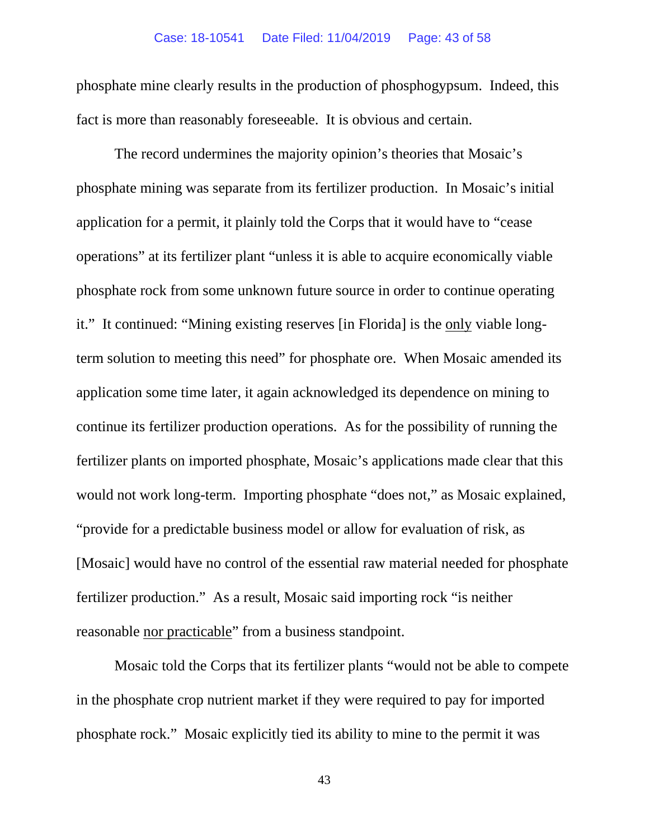#### Case: 18-10541 Date Filed: 11/04/2019 Page: 43 of 58

phosphate mine clearly results in the production of phosphogypsum. Indeed, this fact is more than reasonably foreseeable. It is obvious and certain.

The record undermines the majority opinion's theories that Mosaic's phosphate mining was separate from its fertilizer production. In Mosaic's initial application for a permit, it plainly told the Corps that it would have to "cease operations" at its fertilizer plant "unless it is able to acquire economically viable phosphate rock from some unknown future source in order to continue operating it." It continued: "Mining existing reserves [in Florida] is the only viable longterm solution to meeting this need" for phosphate ore. When Mosaic amended its application some time later, it again acknowledged its dependence on mining to continue its fertilizer production operations. As for the possibility of running the fertilizer plants on imported phosphate, Mosaic's applications made clear that this would not work long-term. Importing phosphate "does not," as Mosaic explained, "provide for a predictable business model or allow for evaluation of risk, as [Mosaic] would have no control of the essential raw material needed for phosphate fertilizer production." As a result, Mosaic said importing rock "is neither reasonable nor practicable" from a business standpoint.

Mosaic told the Corps that its fertilizer plants "would not be able to compete in the phosphate crop nutrient market if they were required to pay for imported phosphate rock." Mosaic explicitly tied its ability to mine to the permit it was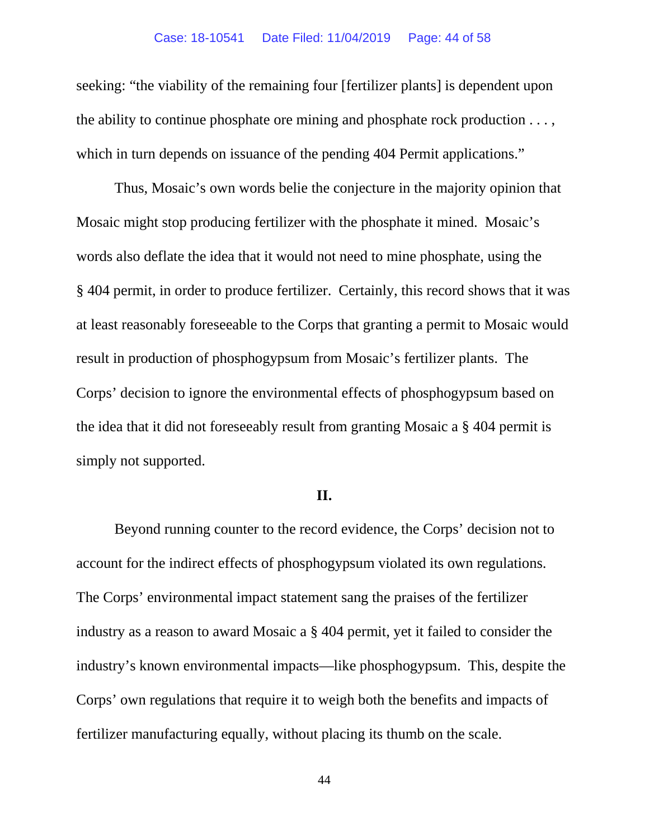#### Case: 18-10541 Date Filed: 11/04/2019 Page: 44 of 58

seeking: "the viability of the remaining four [fertilizer plants] is dependent upon the ability to continue phosphate ore mining and phosphate rock production . . . , which in turn depends on issuance of the pending 404 Permit applications."

Thus, Mosaic's own words belie the conjecture in the majority opinion that Mosaic might stop producing fertilizer with the phosphate it mined. Mosaic's words also deflate the idea that it would not need to mine phosphate, using the § 404 permit, in order to produce fertilizer. Certainly, this record shows that it was at least reasonably foreseeable to the Corps that granting a permit to Mosaic would result in production of phosphogypsum from Mosaic's fertilizer plants. The Corps' decision to ignore the environmental effects of phosphogypsum based on the idea that it did not foreseeably result from granting Mosaic a § 404 permit is simply not supported.

## **II.**

Beyond running counter to the record evidence, the Corps' decision not to account for the indirect effects of phosphogypsum violated its own regulations. The Corps' environmental impact statement sang the praises of the fertilizer industry as a reason to award Mosaic a § 404 permit, yet it failed to consider the industry's known environmental impacts—like phosphogypsum. This, despite the Corps' own regulations that require it to weigh both the benefits and impacts of fertilizer manufacturing equally, without placing its thumb on the scale.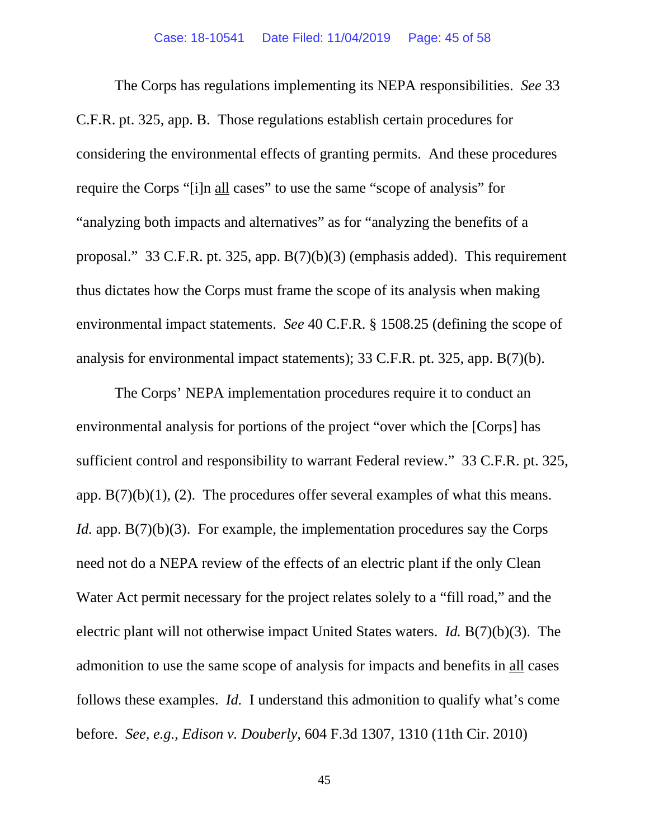The Corps has regulations implementing its NEPA responsibilities. *See* 33 C.F.R. pt. 325, app. B. Those regulations establish certain procedures for considering the environmental effects of granting permits. And these procedures require the Corps "[i]n all cases" to use the same "scope of analysis" for "analyzing both impacts and alternatives" as for "analyzing the benefits of a proposal." 33 C.F.R. pt. 325, app. B(7)(b)(3) (emphasis added). This requirement thus dictates how the Corps must frame the scope of its analysis when making environmental impact statements. *See* 40 C.F.R. § 1508.25 (defining the scope of analysis for environmental impact statements); 33 C.F.R. pt. 325, app. B(7)(b).

The Corps' NEPA implementation procedures require it to conduct an environmental analysis for portions of the project "over which the [Corps] has sufficient control and responsibility to warrant Federal review." 33 C.F.R. pt. 325, app.  $B(7)(b)(1)$ , (2). The procedures offer several examples of what this means. *Id.* app. B(7)(b)(3). For example, the implementation procedures say the Corps need not do a NEPA review of the effects of an electric plant if the only Clean Water Act permit necessary for the project relates solely to a "fill road," and the electric plant will not otherwise impact United States waters. *Id.* B(7)(b)(3). The admonition to use the same scope of analysis for impacts and benefits in all cases follows these examples. *Id.* I understand this admonition to qualify what's come before. *See, e.g.*, *Edison v. Douberly*, 604 F.3d 1307, 1310 (11th Cir. 2010)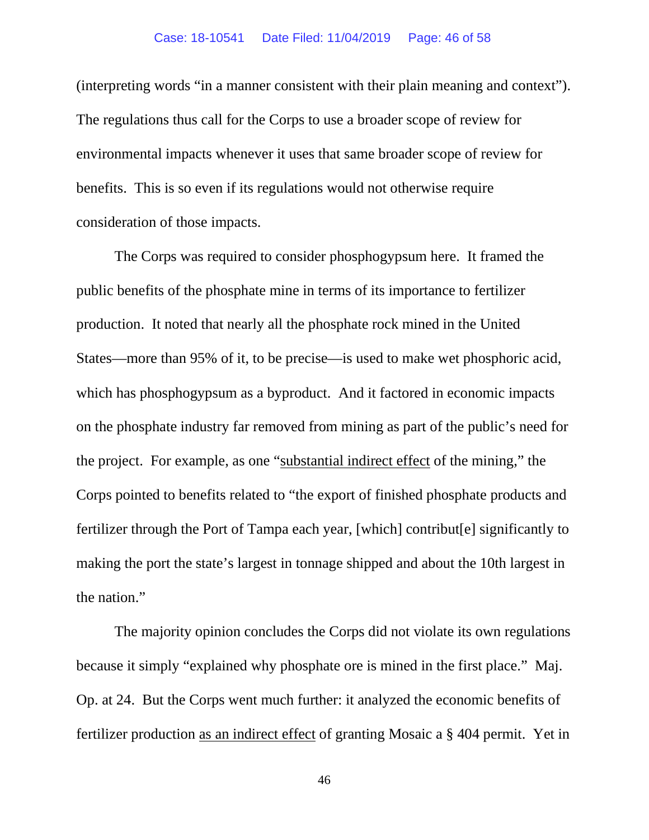(interpreting words "in a manner consistent with their plain meaning and context"). The regulations thus call for the Corps to use a broader scope of review for environmental impacts whenever it uses that same broader scope of review for benefits. This is so even if its regulations would not otherwise require consideration of those impacts.

The Corps was required to consider phosphogypsum here. It framed the public benefits of the phosphate mine in terms of its importance to fertilizer production. It noted that nearly all the phosphate rock mined in the United States—more than 95% of it, to be precise—is used to make wet phosphoric acid, which has phosphogypsum as a byproduct. And it factored in economic impacts on the phosphate industry far removed from mining as part of the public's need for the project. For example, as one "substantial indirect effect of the mining," the Corps pointed to benefits related to "the export of finished phosphate products and fertilizer through the Port of Tampa each year, [which] contribut[e] significantly to making the port the state's largest in tonnage shipped and about the 10th largest in the nation."

The majority opinion concludes the Corps did not violate its own regulations because it simply "explained why phosphate ore is mined in the first place." Maj. Op. at 24. But the Corps went much further: it analyzed the economic benefits of fertilizer production as an indirect effect of granting Mosaic a § 404 permit. Yet in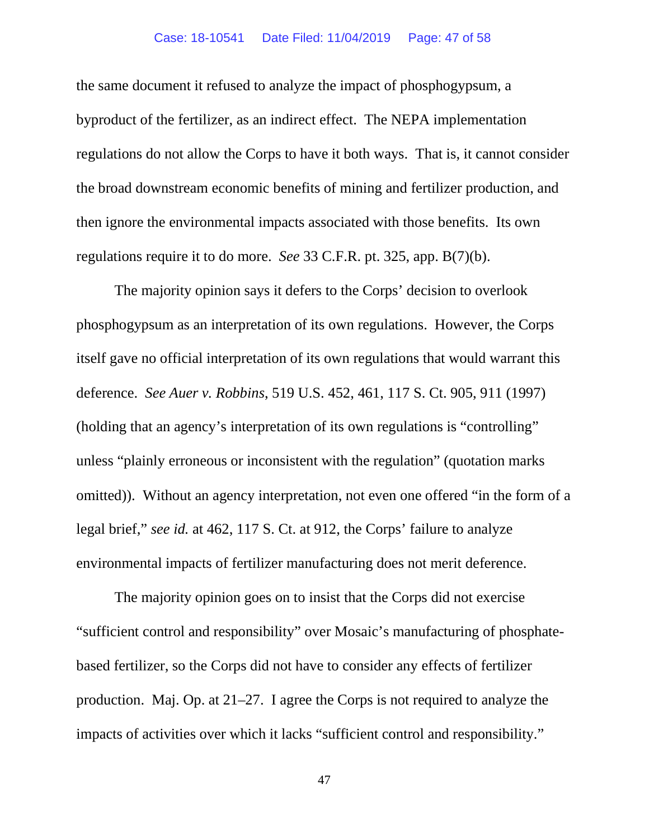### Case: 18-10541 Date Filed: 11/04/2019 Page: 47 of 58

the same document it refused to analyze the impact of phosphogypsum, a byproduct of the fertilizer, as an indirect effect. The NEPA implementation regulations do not allow the Corps to have it both ways. That is, it cannot consider the broad downstream economic benefits of mining and fertilizer production, and then ignore the environmental impacts associated with those benefits. Its own regulations require it to do more. *See* 33 C.F.R. pt. 325, app. B(7)(b).

The majority opinion says it defers to the Corps' decision to overlook phosphogypsum as an interpretation of its own regulations. However, the Corps itself gave no official interpretation of its own regulations that would warrant this deference. *See Auer v. Robbins*, 519 U.S. 452, 461, 117 S. Ct. 905, 911 (1997) (holding that an agency's interpretation of its own regulations is "controlling" unless "plainly erroneous or inconsistent with the regulation" (quotation marks omitted)). Without an agency interpretation, not even one offered "in the form of a legal brief," *see id.* at 462, 117 S. Ct. at 912, the Corps' failure to analyze environmental impacts of fertilizer manufacturing does not merit deference.

The majority opinion goes on to insist that the Corps did not exercise "sufficient control and responsibility" over Mosaic's manufacturing of phosphatebased fertilizer, so the Corps did not have to consider any effects of fertilizer production. Maj. Op. at 21–27. I agree the Corps is not required to analyze the impacts of activities over which it lacks "sufficient control and responsibility."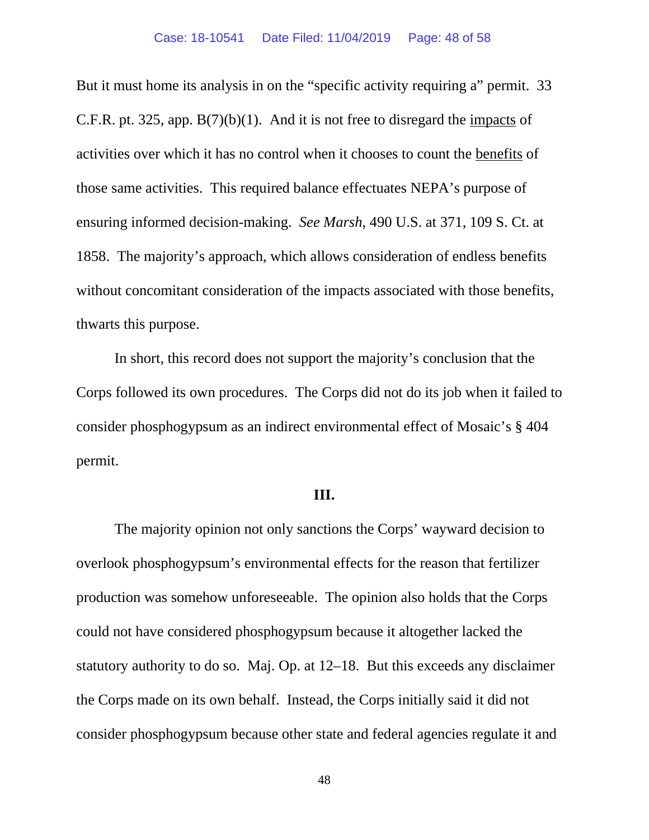But it must home its analysis in on the "specific activity requiring a" permit. 33 C.F.R. pt. 325, app. B(7)(b)(1). And it is not free to disregard the impacts of activities over which it has no control when it chooses to count the benefits of those same activities. This required balance effectuates NEPA's purpose of ensuring informed decision-making. *See Marsh*, 490 U.S. at 371, 109 S. Ct. at 1858. The majority's approach, which allows consideration of endless benefits without concomitant consideration of the impacts associated with those benefits, thwarts this purpose.

In short, this record does not support the majority's conclusion that the Corps followed its own procedures. The Corps did not do its job when it failed to consider phosphogypsum as an indirect environmental effect of Mosaic's § 404 permit.

## **III.**

The majority opinion not only sanctions the Corps' wayward decision to overlook phosphogypsum's environmental effects for the reason that fertilizer production was somehow unforeseeable. The opinion also holds that the Corps could not have considered phosphogypsum because it altogether lacked the statutory authority to do so. Maj. Op. at 12–18. But this exceeds any disclaimer the Corps made on its own behalf. Instead, the Corps initially said it did not consider phosphogypsum because other state and federal agencies regulate it and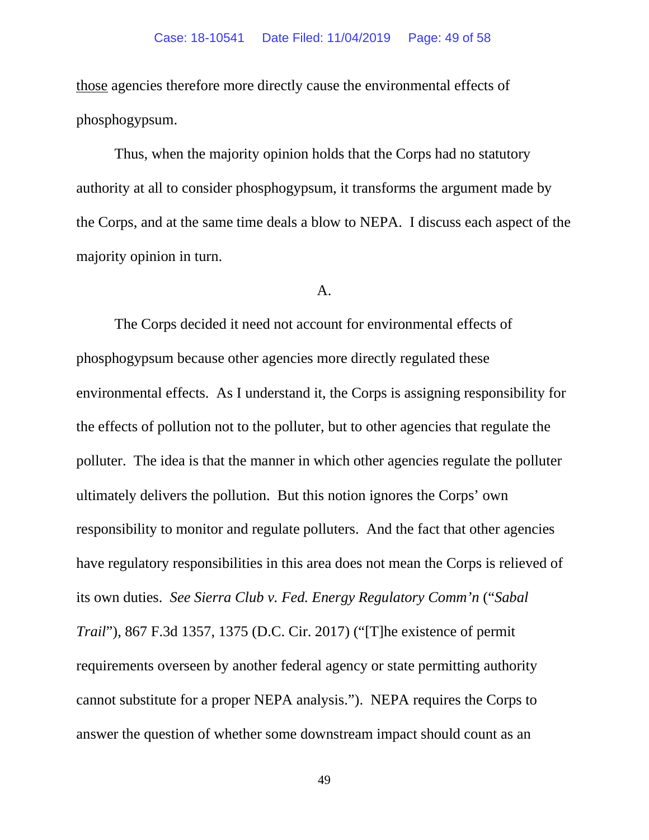those agencies therefore more directly cause the environmental effects of phosphogypsum.

Thus, when the majority opinion holds that the Corps had no statutory authority at all to consider phosphogypsum, it transforms the argument made by the Corps, and at the same time deals a blow to NEPA. I discuss each aspect of the majority opinion in turn.

## A.

The Corps decided it need not account for environmental effects of phosphogypsum because other agencies more directly regulated these environmental effects. As I understand it, the Corps is assigning responsibility for the effects of pollution not to the polluter, but to other agencies that regulate the polluter. The idea is that the manner in which other agencies regulate the polluter ultimately delivers the pollution. But this notion ignores the Corps' own responsibility to monitor and regulate polluters. And the fact that other agencies have regulatory responsibilities in this area does not mean the Corps is relieved of its own duties. *See Sierra Club v. Fed. Energy Regulatory Comm'n* ("*Sabal Trail*"), 867 F.3d 1357, 1375 (D.C. Cir. 2017) ("[T]he existence of permit requirements overseen by another federal agency or state permitting authority cannot substitute for a proper NEPA analysis."). NEPA requires the Corps to answer the question of whether some downstream impact should count as an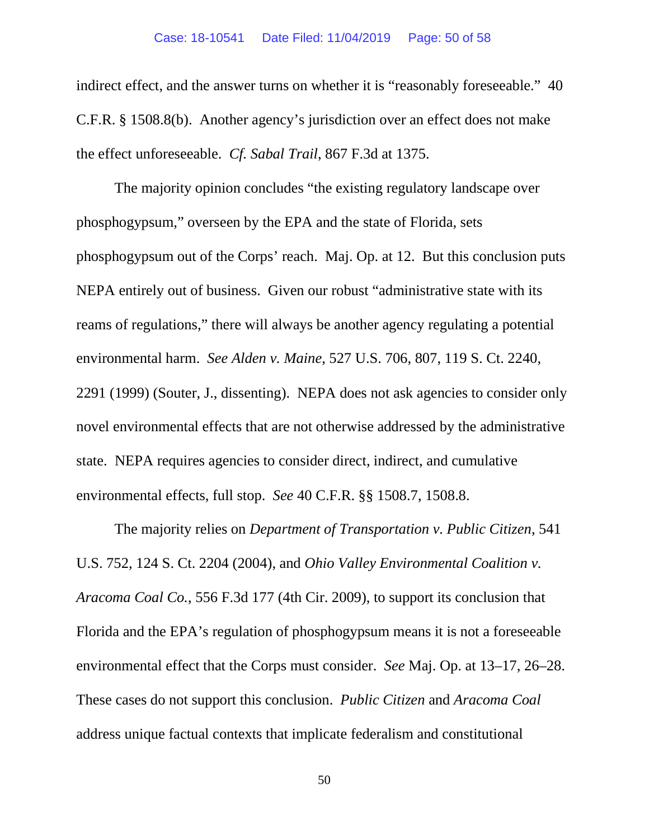#### Case: 18-10541 Date Filed: 11/04/2019 Page: 50 of 58

indirect effect, and the answer turns on whether it is "reasonably foreseeable." 40 C.F.R. § 1508.8(b). Another agency's jurisdiction over an effect does not make the effect unforeseeable. *Cf. Sabal Trail*, 867 F.3d at 1375.

The majority opinion concludes "the existing regulatory landscape over phosphogypsum," overseen by the EPA and the state of Florida, sets phosphogypsum out of the Corps' reach. Maj. Op. at 12. But this conclusion puts NEPA entirely out of business. Given our robust "administrative state with its reams of regulations," there will always be another agency regulating a potential environmental harm. *See Alden v. Maine*, 527 U.S. 706, 807, 119 S. Ct. 2240, 2291 (1999) (Souter, J., dissenting). NEPA does not ask agencies to consider only novel environmental effects that are not otherwise addressed by the administrative state. NEPA requires agencies to consider direct, indirect, and cumulative environmental effects, full stop. *See* 40 C.F.R. §§ 1508.7, 1508.8.

The majority relies on *Department of Transportation v. Public Citizen*, 541 U.S. 752, 124 S. Ct. 2204 (2004), and *Ohio Valley Environmental Coalition v. Aracoma Coal Co.*, 556 F.3d 177 (4th Cir. 2009), to support its conclusion that Florida and the EPA's regulation of phosphogypsum means it is not a foreseeable environmental effect that the Corps must consider. *See* Maj. Op. at 13–17, 26–28. These cases do not support this conclusion. *Public Citizen* and *Aracoma Coal* address unique factual contexts that implicate federalism and constitutional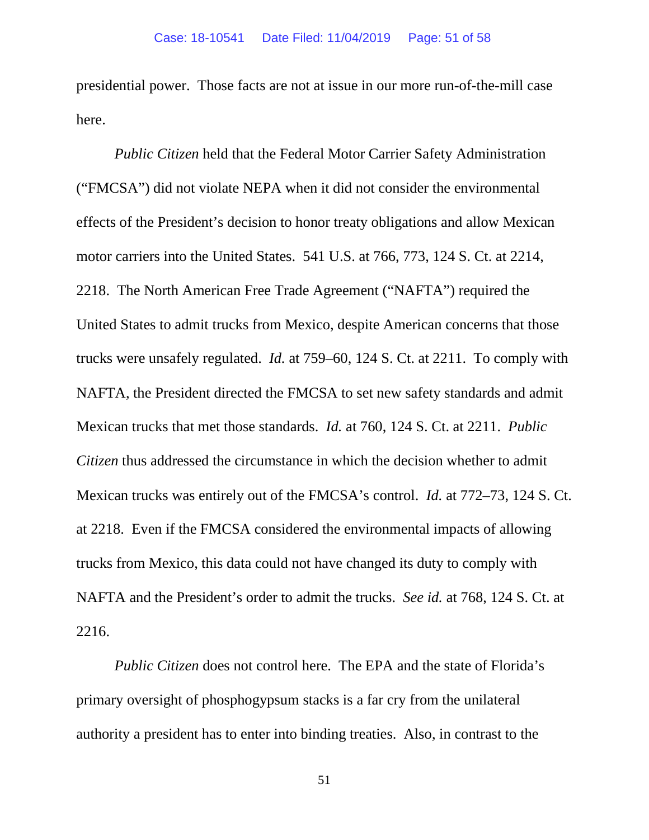presidential power. Those facts are not at issue in our more run-of-the-mill case here.

*Public Citizen* held that the Federal Motor Carrier Safety Administration ("FMCSA") did not violate NEPA when it did not consider the environmental effects of the President's decision to honor treaty obligations and allow Mexican motor carriers into the United States. 541 U.S. at 766, 773, 124 S. Ct. at 2214, 2218. The North American Free Trade Agreement ("NAFTA") required the United States to admit trucks from Mexico, despite American concerns that those trucks were unsafely regulated. *Id.* at 759–60, 124 S. Ct. at 2211. To comply with NAFTA, the President directed the FMCSA to set new safety standards and admit Mexican trucks that met those standards. *Id.* at 760, 124 S. Ct. at 2211. *Public Citizen* thus addressed the circumstance in which the decision whether to admit Mexican trucks was entirely out of the FMCSA's control. *Id.* at 772–73, 124 S. Ct. at 2218. Even if the FMCSA considered the environmental impacts of allowing trucks from Mexico, this data could not have changed its duty to comply with NAFTA and the President's order to admit the trucks. *See id.* at 768, 124 S. Ct. at 2216.

*Public Citizen* does not control here. The EPA and the state of Florida's primary oversight of phosphogypsum stacks is a far cry from the unilateral authority a president has to enter into binding treaties. Also, in contrast to the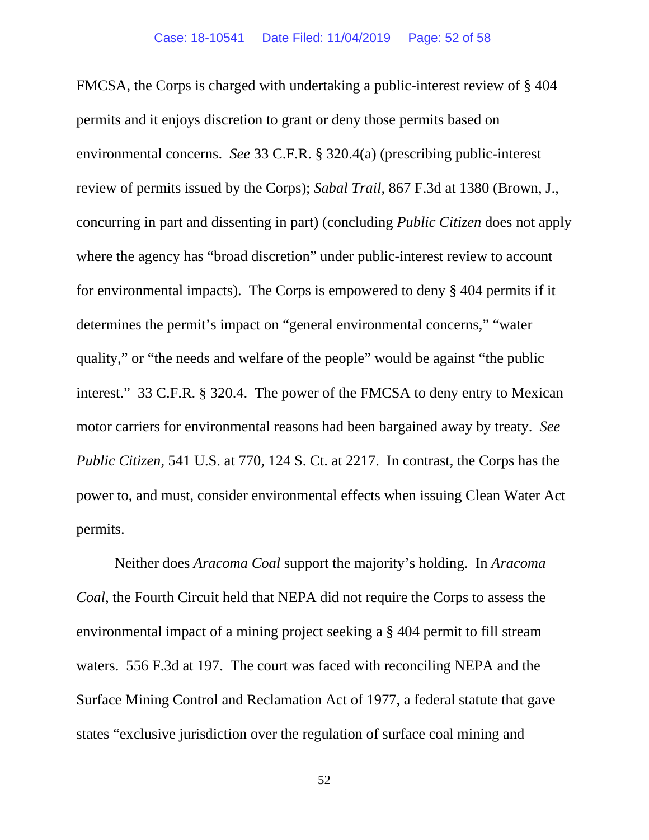FMCSA, the Corps is charged with undertaking a public-interest review of § 404 permits and it enjoys discretion to grant or deny those permits based on environmental concerns. *See* 33 C.F.R. § 320.4(a) (prescribing public-interest review of permits issued by the Corps); *Sabal Trail*, 867 F.3d at 1380 (Brown, J., concurring in part and dissenting in part) (concluding *Public Citizen* does not apply where the agency has "broad discretion" under public-interest review to account for environmental impacts). The Corps is empowered to deny § 404 permits if it determines the permit's impact on "general environmental concerns," "water quality," or "the needs and welfare of the people" would be against "the public interest." 33 C.F.R. § 320.4. The power of the FMCSA to deny entry to Mexican motor carriers for environmental reasons had been bargained away by treaty. *See Public Citizen*, 541 U.S. at 770, 124 S. Ct. at 2217. In contrast, the Corps has the power to, and must, consider environmental effects when issuing Clean Water Act permits.

Neither does *Aracoma Coal* support the majority's holding. In *Aracoma Coal*, the Fourth Circuit held that NEPA did not require the Corps to assess the environmental impact of a mining project seeking a § 404 permit to fill stream waters. 556 F.3d at 197. The court was faced with reconciling NEPA and the Surface Mining Control and Reclamation Act of 1977, a federal statute that gave states "exclusive jurisdiction over the regulation of surface coal mining and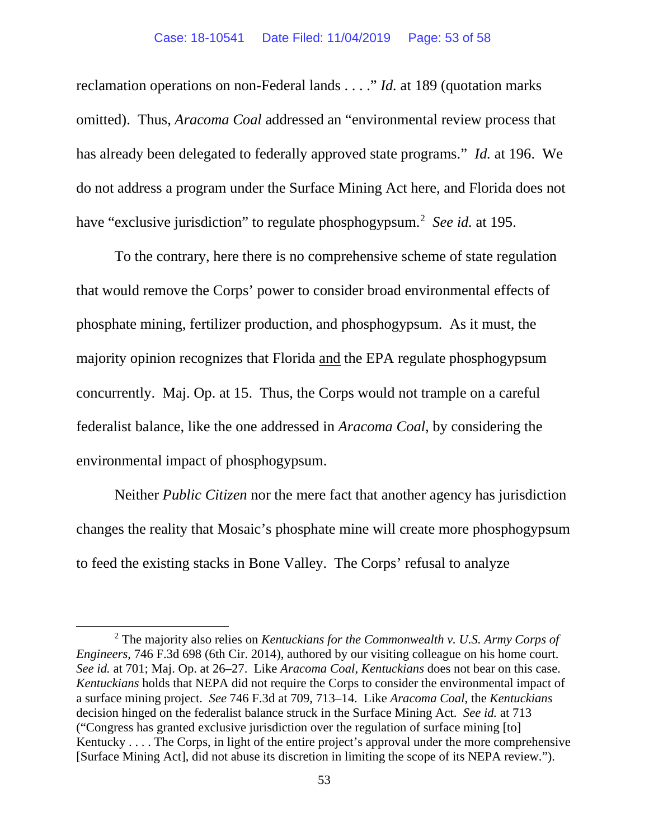#### Case: 18-10541 Date Filed: 11/04/2019 Page: 53 of 58

reclamation operations on non-Federal lands . . . ." *Id.* at 189 (quotation marks omitted). Thus, *Aracoma Coal* addressed an "environmental review process that has already been delegated to federally approved state programs." *Id.* at 196. We do not address a program under the Surface Mining Act here, and Florida does not have "exclusive jurisdiction" to regulate phosphogypsum.<sup>[2](#page-52-0)</sup> See id. at 195.

To the contrary, here there is no comprehensive scheme of state regulation that would remove the Corps' power to consider broad environmental effects of phosphate mining, fertilizer production, and phosphogypsum. As it must, the majority opinion recognizes that Florida and the EPA regulate phosphogypsum concurrently. Maj. Op. at 15. Thus, the Corps would not trample on a careful federalist balance, like the one addressed in *Aracoma Coal*, by considering the environmental impact of phosphogypsum.

Neither *Public Citizen* nor the mere fact that another agency has jurisdiction changes the reality that Mosaic's phosphate mine will create more phosphogypsum to feed the existing stacks in Bone Valley. The Corps' refusal to analyze

<span id="page-52-0"></span><sup>2</sup> The majority also relies on *Kentuckians for the Commonwealth v. U.S. Army Corps of Engineers*, 746 F.3d 698 (6th Cir. 2014), authored by our visiting colleague on his home court. *See id.* at 701; Maj. Op. at 26–27. Like *Aracoma Coal*, *Kentuckians* does not bear on this case. *Kentuckians* holds that NEPA did not require the Corps to consider the environmental impact of a surface mining project. *See* 746 F.3d at 709, 713–14. Like *Aracoma Coal*, the *Kentuckians* decision hinged on the federalist balance struck in the Surface Mining Act. *See id.* at 713 ("Congress has granted exclusive jurisdiction over the regulation of surface mining [to] Kentucky . . . . The Corps, in light of the entire project's approval under the more comprehensive [Surface Mining Act], did not abuse its discretion in limiting the scope of its NEPA review.").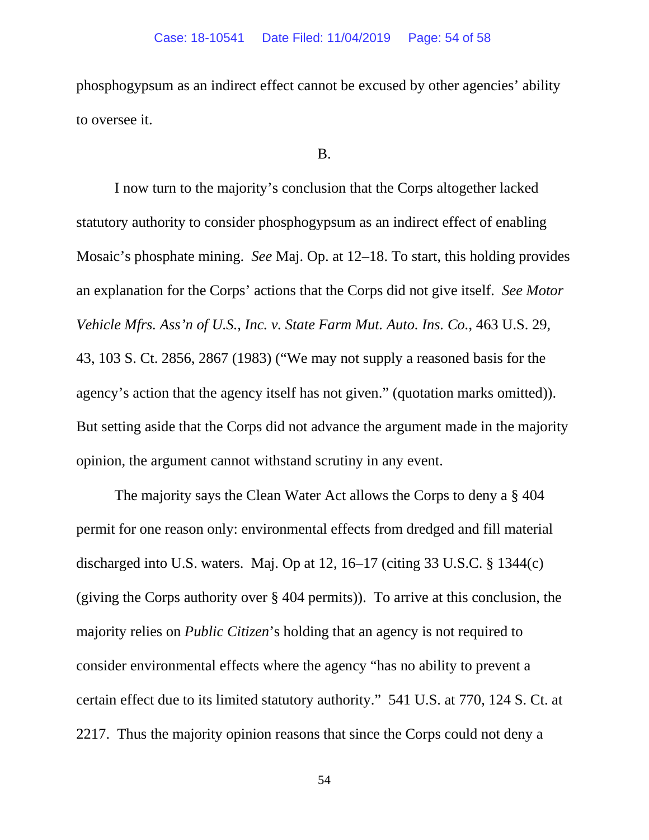phosphogypsum as an indirect effect cannot be excused by other agencies' ability to oversee it.

### B.

I now turn to the majority's conclusion that the Corps altogether lacked statutory authority to consider phosphogypsum as an indirect effect of enabling Mosaic's phosphate mining. *See* Maj. Op. at 12–18. To start, this holding provides an explanation for the Corps' actions that the Corps did not give itself. *See Motor Vehicle Mfrs. Ass'n of U.S., Inc. v. State Farm Mut. Auto. Ins. Co.*, 463 U.S. 29, 43, 103 S. Ct. 2856, 2867 (1983) ("We may not supply a reasoned basis for the agency's action that the agency itself has not given." (quotation marks omitted)). But setting aside that the Corps did not advance the argument made in the majority opinion, the argument cannot withstand scrutiny in any event.

The majority says the Clean Water Act allows the Corps to deny a § 404 permit for one reason only: environmental effects from dredged and fill material discharged into U.S. waters. Maj. Op at 12, 16–17 (citing 33 U.S.C. § 1344(c) (giving the Corps authority over § 404 permits)). To arrive at this conclusion, the majority relies on *Public Citizen*'s holding that an agency is not required to consider environmental effects where the agency "has no ability to prevent a certain effect due to its limited statutory authority." 541 U.S. at 770, 124 S. Ct. at 2217. Thus the majority opinion reasons that since the Corps could not deny a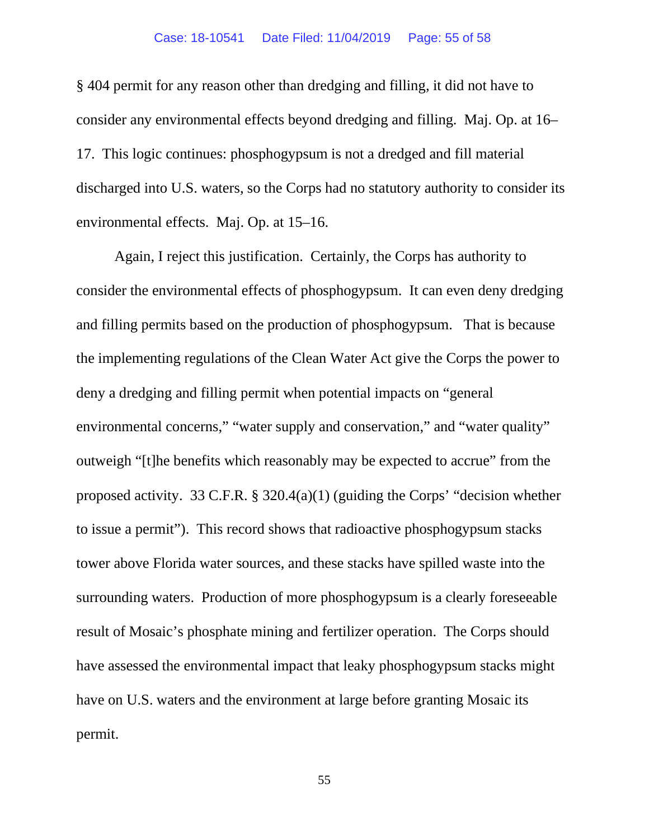§ 404 permit for any reason other than dredging and filling, it did not have to consider any environmental effects beyond dredging and filling. Maj. Op. at 16– 17. This logic continues: phosphogypsum is not a dredged and fill material discharged into U.S. waters, so the Corps had no statutory authority to consider its environmental effects. Maj. Op. at 15–16.

Again, I reject this justification. Certainly, the Corps has authority to consider the environmental effects of phosphogypsum. It can even deny dredging and filling permits based on the production of phosphogypsum. That is because the implementing regulations of the Clean Water Act give the Corps the power to deny a dredging and filling permit when potential impacts on "general environmental concerns," "water supply and conservation," and "water quality" outweigh "[t]he benefits which reasonably may be expected to accrue" from the proposed activity. 33 C.F.R. § 320.4(a)(1) (guiding the Corps' "decision whether to issue a permit"). This record shows that radioactive phosphogypsum stacks tower above Florida water sources, and these stacks have spilled waste into the surrounding waters. Production of more phosphogypsum is a clearly foreseeable result of Mosaic's phosphate mining and fertilizer operation. The Corps should have assessed the environmental impact that leaky phosphogypsum stacks might have on U.S. waters and the environment at large before granting Mosaic its permit.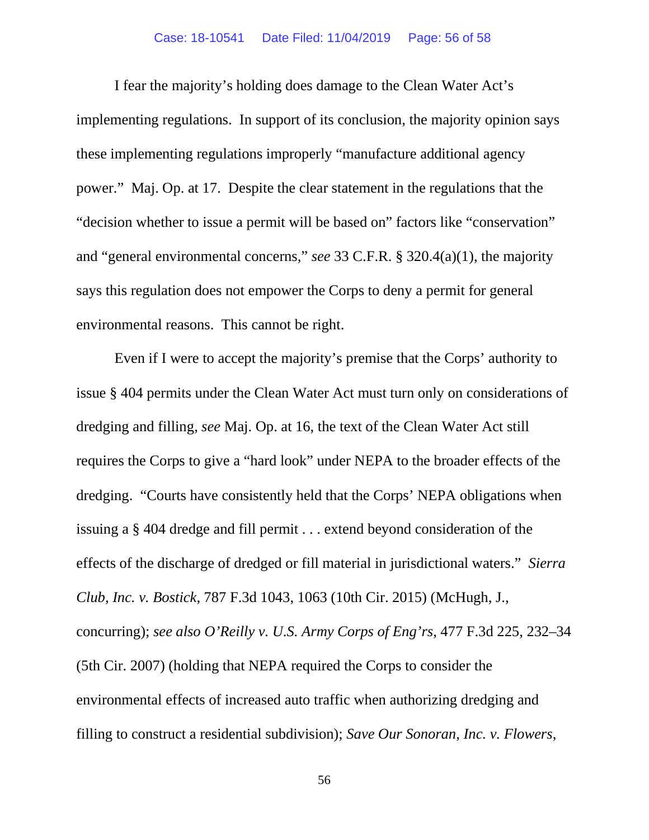I fear the majority's holding does damage to the Clean Water Act's implementing regulations. In support of its conclusion, the majority opinion says these implementing regulations improperly "manufacture additional agency power." Maj. Op. at 17. Despite the clear statement in the regulations that the "decision whether to issue a permit will be based on" factors like "conservation" and "general environmental concerns," *see* 33 C.F.R. § 320.4(a)(1), the majority says this regulation does not empower the Corps to deny a permit for general environmental reasons. This cannot be right.

Even if I were to accept the majority's premise that the Corps' authority to issue § 404 permits under the Clean Water Act must turn only on considerations of dredging and filling, *see* Maj. Op. at 16, the text of the Clean Water Act still requires the Corps to give a "hard look" under NEPA to the broader effects of the dredging. "Courts have consistently held that the Corps' NEPA obligations when issuing a § 404 dredge and fill permit . . . extend beyond consideration of the effects of the discharge of dredged or fill material in jurisdictional waters." *Sierra Club, Inc. v. Bostick*, 787 F.3d 1043, 1063 (10th Cir. 2015) (McHugh, J., concurring); *see also O'Reilly v. U.S. Army Corps of Eng'rs*, 477 F.3d 225, 232–34 (5th Cir. 2007) (holding that NEPA required the Corps to consider the environmental effects of increased auto traffic when authorizing dredging and filling to construct a residential subdivision); *Save Our Sonoran, Inc. v. Flowers*,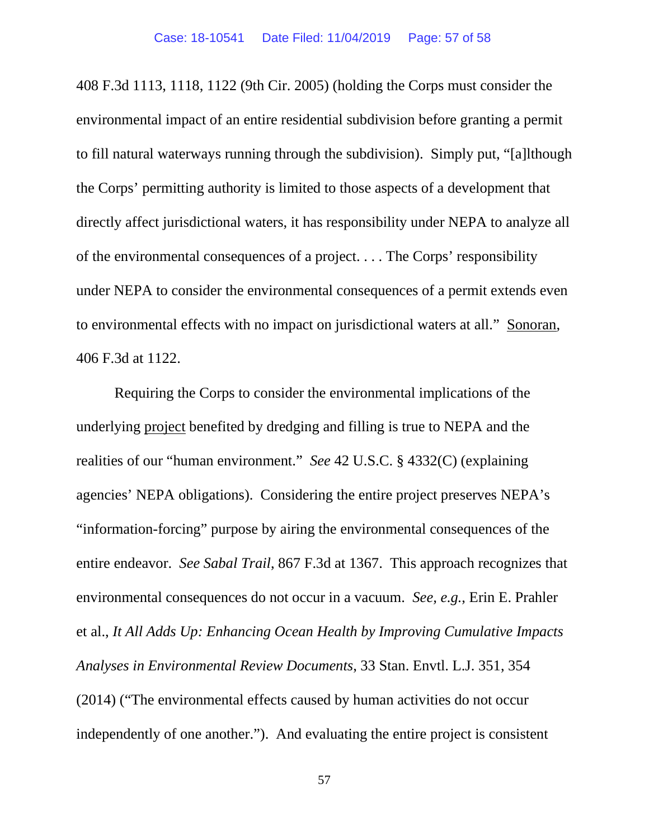408 F.3d 1113, 1118, 1122 (9th Cir. 2005) (holding the Corps must consider the environmental impact of an entire residential subdivision before granting a permit to fill natural waterways running through the subdivision). Simply put, "[a]lthough the Corps' permitting authority is limited to those aspects of a development that directly affect jurisdictional waters, it has responsibility under NEPA to analyze all of the environmental consequences of a project. . . . The Corps' responsibility under NEPA to consider the environmental consequences of a permit extends even to environmental effects with no impact on jurisdictional waters at all." Sonoran, 406 F.3d at 1122.

Requiring the Corps to consider the environmental implications of the underlying project benefited by dredging and filling is true to NEPA and the realities of our "human environment." *See* 42 U.S.C. § 4332(C) (explaining agencies' NEPA obligations). Considering the entire project preserves NEPA's "information-forcing" purpose by airing the environmental consequences of the entire endeavor. *See Sabal Trail*, 867 F.3d at 1367. This approach recognizes that environmental consequences do not occur in a vacuum. *See, e.g.*, Erin E. Prahler et al., *It All Adds Up: Enhancing Ocean Health by Improving Cumulative Impacts Analyses in Environmental Review Documents*, 33 Stan. Envtl. L.J. 351, 354 (2014) ("The environmental effects caused by human activities do not occur independently of one another."). And evaluating the entire project is consistent